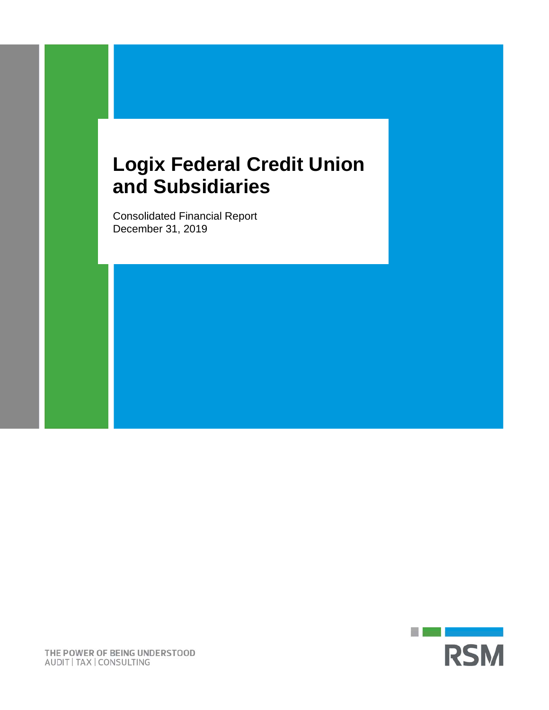Consolidated Financial Report December 31, 2019

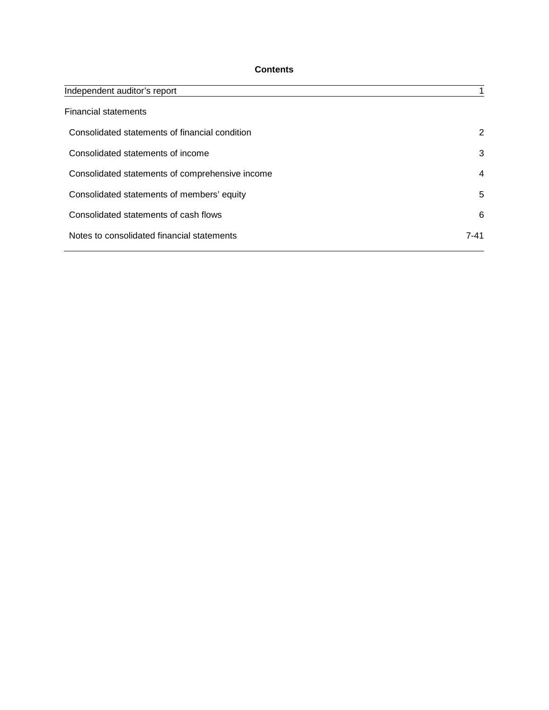# **Contents**

| Independent auditor's report                    |      |
|-------------------------------------------------|------|
| <b>Financial statements</b>                     |      |
| Consolidated statements of financial condition  | 2    |
| Consolidated statements of income               | 3    |
| Consolidated statements of comprehensive income | 4    |
| Consolidated statements of members' equity      | 5    |
| Consolidated statements of cash flows           | 6    |
| Notes to consolidated financial statements      | 7-41 |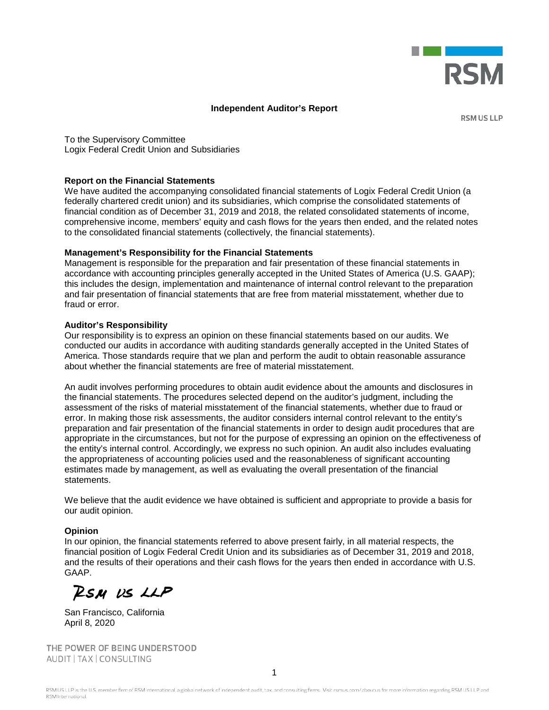

#### **Independent Auditor's Report**

**RSM US LLP** 

To the Supervisory Committee Logix Federal Credit Union and Subsidiaries

#### **Report on the Financial Statements**

We have audited the accompanying consolidated financial statements of Logix Federal Credit Union (a federally chartered credit union) and its subsidiaries, which comprise the consolidated statements of financial condition as of December 31, 2019 and 2018, the related consolidated statements of income, comprehensive income, members' equity and cash flows for the years then ended, and the related notes to the consolidated financial statements (collectively, the financial statements).

#### **Management's Responsibility for the Financial Statements**

Management is responsible for the preparation and fair presentation of these financial statements in accordance with accounting principles generally accepted in the United States of America (U.S. GAAP); this includes the design, implementation and maintenance of internal control relevant to the preparation and fair presentation of financial statements that are free from material misstatement, whether due to fraud or error.

#### **Auditor's Responsibility**

Our responsibility is to express an opinion on these financial statements based on our audits. We conducted our audits in accordance with auditing standards generally accepted in the United States of America. Those standards require that we plan and perform the audit to obtain reasonable assurance about whether the financial statements are free of material misstatement.

An audit involves performing procedures to obtain audit evidence about the amounts and disclosures in the financial statements. The procedures selected depend on the auditor's judgment, including the assessment of the risks of material misstatement of the financial statements, whether due to fraud or error. In making those risk assessments, the auditor considers internal control relevant to the entity's preparation and fair presentation of the financial statements in order to design audit procedures that are appropriate in the circumstances, but not for the purpose of expressing an opinion on the effectiveness of the entity's internal control. Accordingly, we express no such opinion. An audit also includes evaluating the appropriateness of accounting policies used and the reasonableness of significant accounting estimates made by management, as well as evaluating the overall presentation of the financial statements.

We believe that the audit evidence we have obtained is sufficient and appropriate to provide a basis for our audit opinion.

#### **Opinion**

In our opinion, the financial statements referred to above present fairly, in all material respects, the financial position of Logix Federal Credit Union and its subsidiaries as of December 31, 2019 and 2018, and the results of their operations and their cash flows for the years then ended in accordance with U.S. GAAP.

BSM US LLP

San Francisco, California April 8, 2020

THE POWER OF BEING UNDERSTOOD AUDIT | TAX | CONSULTING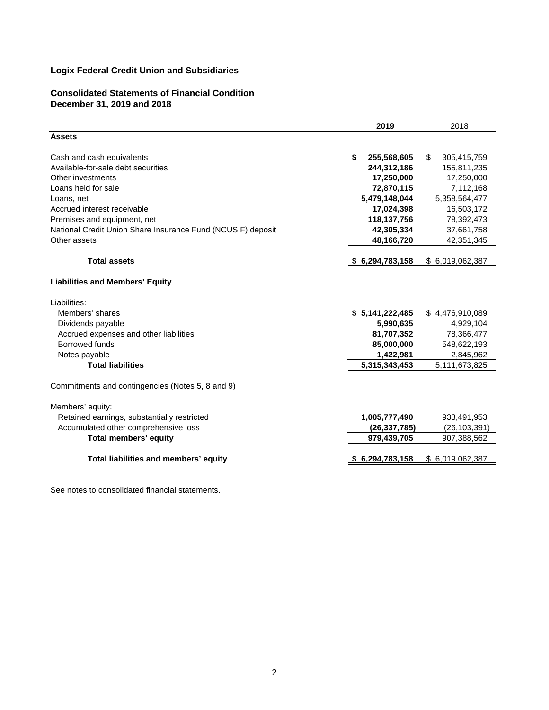# **Consolidated Statements of Financial Condition December 31, 2019 and 2018**

|                                                             | 2019              | 2018              |
|-------------------------------------------------------------|-------------------|-------------------|
| <b>Assets</b>                                               |                   |                   |
| Cash and cash equivalents                                   | \$<br>255,568,605 | \$<br>305,415,759 |
| Available-for-sale debt securities                          | 244,312,186       | 155,811,235       |
| Other investments                                           | 17,250,000        | 17,250,000        |
| Loans held for sale                                         | 72,870,115        | 7,112,168         |
| Loans, net                                                  | 5,479,148,044     | 5,358,564,477     |
| Accrued interest receivable                                 | 17,024,398        | 16,503,172        |
| Premises and equipment, net                                 | 118, 137, 756     | 78,392,473        |
| National Credit Union Share Insurance Fund (NCUSIF) deposit | 42,305,334        | 37,661,758        |
| Other assets                                                | 48,166,720        | 42,351,345        |
| <b>Total assets</b>                                         | \$6,294,783,158   | \$ 6,019,062,387  |
| <b>Liabilities and Members' Equity</b>                      |                   |                   |
| Liabilities:                                                |                   |                   |
| Members' shares                                             | \$5,141,222,485   | \$4,476,910,089   |
| Dividends payable                                           | 5,990,635         | 4,929,104         |
| Accrued expenses and other liabilities                      | 81,707,352        | 78,366,477        |
| Borrowed funds                                              | 85,000,000        | 548,622,193       |
| Notes payable                                               | 1,422,981         | 2,845,962         |
| <b>Total liabilities</b>                                    | 5,315,343,453     | 5,111,673,825     |
| Commitments and contingencies (Notes 5, 8 and 9)            |                   |                   |
| Members' equity:                                            |                   |                   |
| Retained earnings, substantially restricted                 | 1,005,777,490     | 933,491,953       |
| Accumulated other comprehensive loss                        | (26, 337, 785)    | (26, 103, 391)    |
| <b>Total members' equity</b>                                | 979,439,705       | 907,388,562       |
| Total liabilities and members' equity                       | \$6,294,783,158   | \$ 6,019,062,387  |
|                                                             |                   |                   |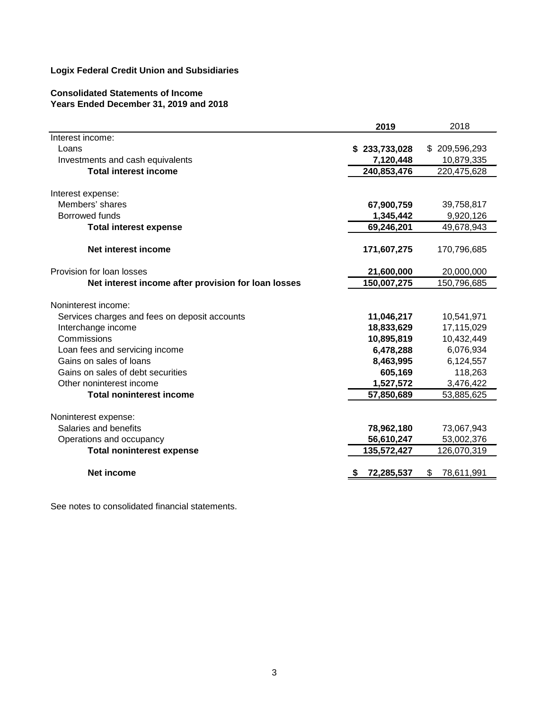# **Consolidated Statements of Income Years Ended December 31, 2019 and 2018**

|                                                     | 2019          | 2018             |
|-----------------------------------------------------|---------------|------------------|
| Interest income:                                    |               |                  |
| Loans                                               | \$233,733,028 | \$209,596,293    |
| Investments and cash equivalents                    | 7,120,448     | 10,879,335       |
| <b>Total interest income</b>                        | 240,853,476   | 220,475,628      |
| Interest expense:                                   |               |                  |
| Members' shares                                     | 67,900,759    | 39,758,817       |
| <b>Borrowed funds</b>                               | 1,345,442     | 9,920,126        |
| <b>Total interest expense</b>                       | 69,246,201    | 49,678,943       |
| Net interest income                                 | 171,607,275   | 170,796,685      |
| Provision for loan losses                           | 21,600,000    | 20,000,000       |
| Net interest income after provision for loan losses | 150,007,275   | 150,796,685      |
| Noninterest income:                                 |               |                  |
| Services charges and fees on deposit accounts       | 11,046,217    | 10,541,971       |
| Interchange income                                  | 18,833,629    | 17,115,029       |
| Commissions                                         | 10,895,819    | 10,432,449       |
| Loan fees and servicing income                      | 6,478,288     | 6,076,934        |
| Gains on sales of loans                             | 8,463,995     | 6,124,557        |
| Gains on sales of debt securities                   | 605,169       | 118,263          |
| Other noninterest income                            | 1,527,572     | 3,476,422        |
| <b>Total noninterest income</b>                     | 57,850,689    | 53,885,625       |
| Noninterest expense:                                |               |                  |
| Salaries and benefits                               | 78,962,180    | 73,067,943       |
| Operations and occupancy                            | 56,610,247    | 53,002,376       |
| <b>Total noninterest expense</b>                    | 135,572,427   | 126,070,319      |
|                                                     |               |                  |
| <b>Net income</b>                                   | 72,285,537    | 78,611,991<br>\$ |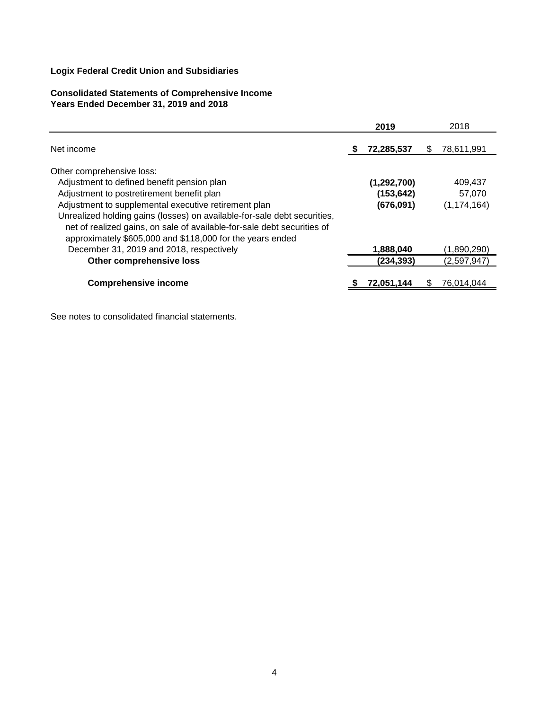# **Consolidated Statements of Comprehensive Income Years Ended December 31, 2019 and 2018**

|                                                                          | 2019        |   | 2018          |
|--------------------------------------------------------------------------|-------------|---|---------------|
| Net income                                                               | 72,285,537  | S | 78,611,991    |
| Other comprehensive loss:                                                |             |   |               |
| Adjustment to defined benefit pension plan                               | (1,292,700) |   | 409,437       |
| Adjustment to postretirement benefit plan                                | (153, 642)  |   | 57.070        |
| Adjustment to supplemental executive retirement plan                     | (676, 091)  |   | (1, 174, 164) |
| Unrealized holding gains (losses) on available-for-sale debt securities, |             |   |               |
| net of realized gains, on sale of available-for-sale debt securities of  |             |   |               |
| approximately \$605,000 and \$118,000 for the years ended                |             |   |               |
| December 31, 2019 and 2018, respectively                                 | 1,888,040   |   | (1,890,290)   |
| Other comprehensive loss                                                 | (234, 393)  |   | (2,597,947)   |
| <b>Comprehensive income</b>                                              | 72,051,144  |   | 76,014,044    |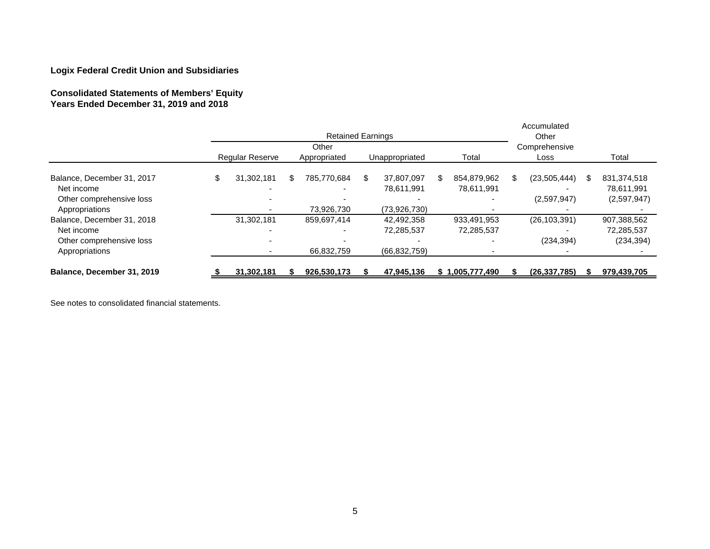# **Consolidated Statements of Members' Equity Years Ended December 31, 2019 and 2018**

|                            |                        | <b>Retained Earnings</b> |                  |    |              |   | Accumulated<br>Other |   |             |
|----------------------------|------------------------|--------------------------|------------------|----|--------------|---|----------------------|---|-------------|
|                            |                        | Other                    |                  |    |              |   | Comprehensive        |   |             |
|                            | <b>Regular Reserve</b> | Appropriated             | Unappropriated   |    | Total        |   | Loss                 |   | Total       |
| Balance, December 31, 2017 | \$<br>31,302,181       | 785,770,684              | \$<br>37.807.097 | S. | 854,879,962  | S | (23, 505, 444)       | S | 831,374,518 |
| Net income                 |                        |                          | 78,611,991       |    | 78,611,991   |   |                      |   | 78,611,991  |
| Other comprehensive loss   |                        |                          |                  |    |              |   | (2,597,947)          |   | (2,597,947) |
| Appropriations             |                        | 73,926,730               | (73,926,730)     |    |              |   |                      |   |             |
| Balance, December 31, 2018 | 31.302.181             | 859,697,414              | 42,492,358       |    | 933,491,953  |   | (26, 103, 391)       |   | 907,388,562 |
| Net income                 |                        |                          | 72,285,537       |    | 72,285,537   |   |                      |   | 72,285,537  |
| Other comprehensive loss   |                        |                          |                  |    |              |   | (234, 394)           |   | (234, 394)  |
| Appropriations             |                        | 66,832,759               | (66, 832, 759)   |    |              |   |                      |   |             |
| Balance, December 31, 2019 | 31,302,181             | 926,530,173              | 47.945.136       |    | .005.777.490 |   | (26.337.785)         |   | 979.439.705 |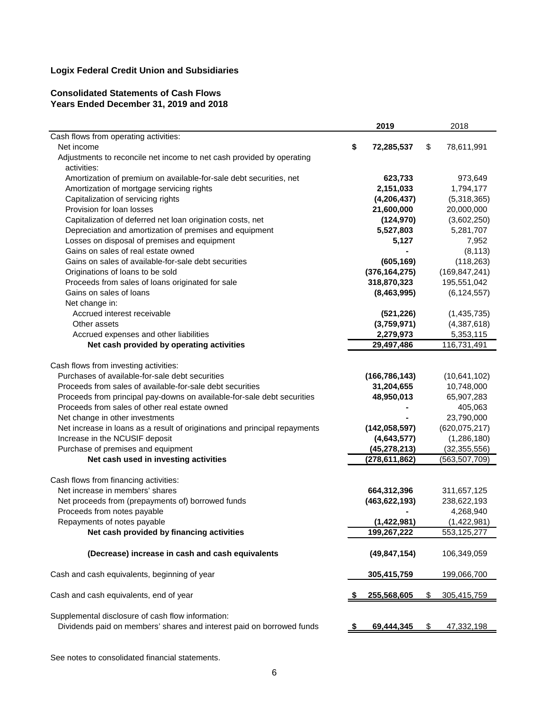# **Consolidated Statements of Cash Flows Years Ended December 31, 2019 and 2018**

|                                                                            | 2019             |    | 2018                     |
|----------------------------------------------------------------------------|------------------|----|--------------------------|
| Cash flows from operating activities:                                      |                  |    |                          |
| Net income                                                                 | \$<br>72,285,537 | \$ | 78,611,991               |
| Adjustments to reconcile net income to net cash provided by operating      |                  |    |                          |
| activities:                                                                |                  |    |                          |
| Amortization of premium on available-for-sale debt securities, net         | 623,733          |    | 973,649                  |
| Amortization of mortgage servicing rights                                  | 2,151,033        |    | 1,794,177                |
| Capitalization of servicing rights                                         | (4, 206, 437)    |    | (5,318,365)              |
| Provision for loan losses                                                  | 21,600,000       |    | 20,000,000               |
| Capitalization of deferred net loan origination costs, net                 | (124, 970)       |    | (3,602,250)              |
| Depreciation and amortization of premises and equipment                    | 5,527,803        |    | 5,281,707                |
| Losses on disposal of premises and equipment                               | 5,127            |    | 7,952                    |
| Gains on sales of real estate owned                                        |                  |    | (8, 113)                 |
| Gains on sales of available-for-sale debt securities                       | (605, 169)       |    | (118, 263)               |
| Originations of loans to be sold                                           | (376, 164, 275)  |    | (169, 847, 241)          |
| Proceeds from sales of loans originated for sale                           | 318,870,323      |    | 195,551,042              |
| Gains on sales of loans                                                    | (8,463,995)      |    | (6, 124, 557)            |
| Net change in:                                                             |                  |    |                          |
| Accrued interest receivable                                                | (521, 226)       |    | (1,435,735)              |
| Other assets                                                               | (3,759,971)      |    | (4,387,618)              |
| Accrued expenses and other liabilities                                     | 2,279,973        |    | 5,353,115                |
| Net cash provided by operating activities                                  | 29,497,486       |    | 116,731,491              |
|                                                                            |                  |    |                          |
| Cash flows from investing activities:                                      |                  |    |                          |
| Purchases of available-for-sale debt securities                            | (166, 786, 143)  |    | (10,641,102)             |
| Proceeds from sales of available-for-sale debt securities                  | 31,204,655       |    | 10,748,000               |
| Proceeds from principal pay-downs on available-for-sale debt securities    | 48,950,013       |    | 65,907,283               |
| Proceeds from sales of other real estate owned                             |                  |    | 405,063                  |
| Net change in other investments                                            |                  |    | 23,790,000               |
| Net increase in loans as a result of originations and principal repayments | (142, 058, 597)  |    | (620, 075, 217)          |
| Increase in the NCUSIF deposit                                             | (4,643,577)      |    | (1,286,180)              |
| Purchase of premises and equipment                                         | (45, 278, 213)   |    | (32, 355, 556)           |
| Net cash used in investing activities                                      | (278, 611, 862)  |    | (563, 507, 709)          |
|                                                                            |                  |    |                          |
| Cash flows from financing activities:<br>Net increase in members' shares   |                  |    |                          |
|                                                                            | 664,312,396      |    | 311,657,125              |
| Net proceeds from (prepayments of) borrowed funds                          | (463, 622, 193)  |    | 238,622,193              |
| Proceeds from notes payable                                                | (1,422,981)      |    | 4,268,940<br>(1,422,981) |
| Repayments of notes payable<br>Net cash provided by financing activities   |                  |    |                          |
|                                                                            | 199,267,222      |    | 553,125,277              |
| (Decrease) increase in cash and cash equivalents                           | (49, 847, 154)   |    | 106,349,059              |
| Cash and cash equivalents, beginning of year                               | 305,415,759      |    | 199,066,700              |
| Cash and cash equivalents, end of year                                     | 255,568,605      | S  | 305,415,759              |
|                                                                            |                  |    |                          |
| Supplemental disclosure of cash flow information:                          |                  |    |                          |
| Dividends paid on members' shares and interest paid on borrowed funds      | 69,444,345       | \$ | 47,332,198               |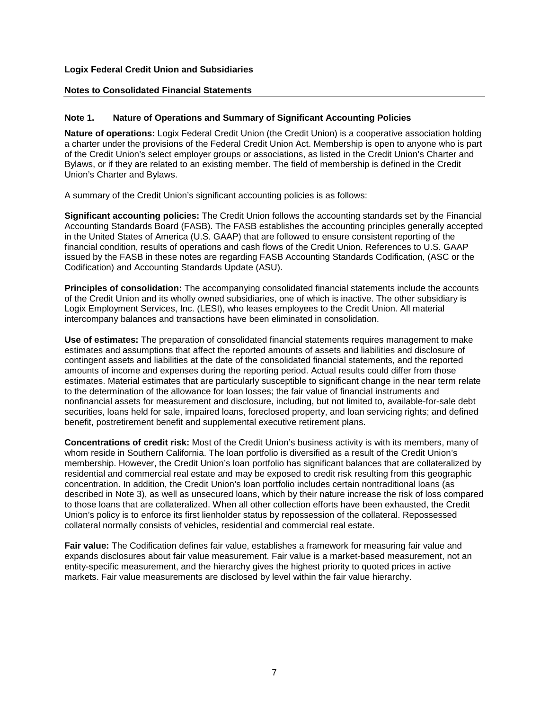#### **Notes to Consolidated Financial Statements**

## **Note 1. Nature of Operations and Summary of Significant Accounting Policies**

**Nature of operations:** Logix Federal Credit Union (the Credit Union) is a cooperative association holding a charter under the provisions of the Federal Credit Union Act. Membership is open to anyone who is part of the Credit Union's select employer groups or associations, as listed in the Credit Union's Charter and Bylaws, or if they are related to an existing member. The field of membership is defined in the Credit Union's Charter and Bylaws.

A summary of the Credit Union's significant accounting policies is as follows:

**Significant accounting policies:** The Credit Union follows the accounting standards set by the Financial Accounting Standards Board (FASB). The FASB establishes the accounting principles generally accepted in the United States of America (U.S. GAAP) that are followed to ensure consistent reporting of the financial condition, results of operations and cash flows of the Credit Union. References to U.S. GAAP issued by the FASB in these notes are regarding FASB Accounting Standards Codification, (ASC or the Codification) and Accounting Standards Update (ASU).

**Principles of consolidation:** The accompanying consolidated financial statements include the accounts of the Credit Union and its wholly owned subsidiaries, one of which is inactive. The other subsidiary is Logix Employment Services, Inc. (LESI), who leases employees to the Credit Union. All material intercompany balances and transactions have been eliminated in consolidation.

**Use of estimates:** The preparation of consolidated financial statements requires management to make estimates and assumptions that affect the reported amounts of assets and liabilities and disclosure of contingent assets and liabilities at the date of the consolidated financial statements, and the reported amounts of income and expenses during the reporting period. Actual results could differ from those estimates. Material estimates that are particularly susceptible to significant change in the near term relate to the determination of the allowance for loan losses; the fair value of financial instruments and nonfinancial assets for measurement and disclosure, including, but not limited to, available-for-sale debt securities, loans held for sale, impaired loans, foreclosed property, and loan servicing rights; and defined benefit, postretirement benefit and supplemental executive retirement plans.

**Concentrations of credit risk:** Most of the Credit Union's business activity is with its members, many of whom reside in Southern California. The loan portfolio is diversified as a result of the Credit Union's membership. However, the Credit Union's loan portfolio has significant balances that are collateralized by residential and commercial real estate and may be exposed to credit risk resulting from this geographic concentration. In addition, the Credit Union's loan portfolio includes certain nontraditional loans (as described in Note 3), as well as unsecured loans, which by their nature increase the risk of loss compared to those loans that are collateralized. When all other collection efforts have been exhausted, the Credit Union's policy is to enforce its first lienholder status by repossession of the collateral. Repossessed collateral normally consists of vehicles, residential and commercial real estate.

**Fair value:** The Codification defines fair value, establishes a framework for measuring fair value and expands disclosures about fair value measurement. Fair value is a market-based measurement, not an entity-specific measurement, and the hierarchy gives the highest priority to quoted prices in active markets. Fair value measurements are disclosed by level within the fair value hierarchy.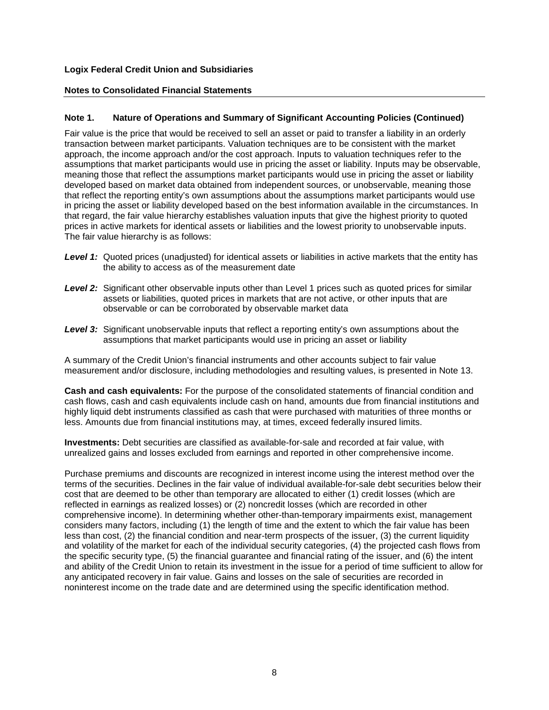## **Notes to Consolidated Financial Statements**

# **Note 1. Nature of Operations and Summary of Significant Accounting Policies (Continued)**

Fair value is the price that would be received to sell an asset or paid to transfer a liability in an orderly transaction between market participants. Valuation techniques are to be consistent with the market approach, the income approach and/or the cost approach. Inputs to valuation techniques refer to the assumptions that market participants would use in pricing the asset or liability. Inputs may be observable, meaning those that reflect the assumptions market participants would use in pricing the asset or liability developed based on market data obtained from independent sources, or unobservable, meaning those that reflect the reporting entity's own assumptions about the assumptions market participants would use in pricing the asset or liability developed based on the best information available in the circumstances. In that regard, the fair value hierarchy establishes valuation inputs that give the highest priority to quoted prices in active markets for identical assets or liabilities and the lowest priority to unobservable inputs. The fair value hierarchy is as follows:

- **Level 1:** Quoted prices (unadjusted) for identical assets or liabilities in active markets that the entity has the ability to access as of the measurement date
- **Level 2:** Significant other observable inputs other than Level 1 prices such as quoted prices for similar assets or liabilities, quoted prices in markets that are not active, or other inputs that are observable or can be corroborated by observable market data
- **Level 3:** Significant unobservable inputs that reflect a reporting entity's own assumptions about the assumptions that market participants would use in pricing an asset or liability

A summary of the Credit Union's financial instruments and other accounts subject to fair value measurement and/or disclosure, including methodologies and resulting values, is presented in Note 13.

**Cash and cash equivalents:** For the purpose of the consolidated statements of financial condition and cash flows, cash and cash equivalents include cash on hand, amounts due from financial institutions and highly liquid debt instruments classified as cash that were purchased with maturities of three months or less. Amounts due from financial institutions may, at times, exceed federally insured limits.

**Investments:** Debt securities are classified as available-for-sale and recorded at fair value, with unrealized gains and losses excluded from earnings and reported in other comprehensive income.

Purchase premiums and discounts are recognized in interest income using the interest method over the terms of the securities. Declines in the fair value of individual available-for-sale debt securities below their cost that are deemed to be other than temporary are allocated to either (1) credit losses (which are reflected in earnings as realized losses) or (2) noncredit losses (which are recorded in other comprehensive income). In determining whether other-than-temporary impairments exist, management considers many factors, including (1) the length of time and the extent to which the fair value has been less than cost, (2) the financial condition and near-term prospects of the issuer, (3) the current liquidity and volatility of the market for each of the individual security categories, (4) the projected cash flows from the specific security type, (5) the financial guarantee and financial rating of the issuer, and (6) the intent and ability of the Credit Union to retain its investment in the issue for a period of time sufficient to allow for any anticipated recovery in fair value. Gains and losses on the sale of securities are recorded in noninterest income on the trade date and are determined using the specific identification method.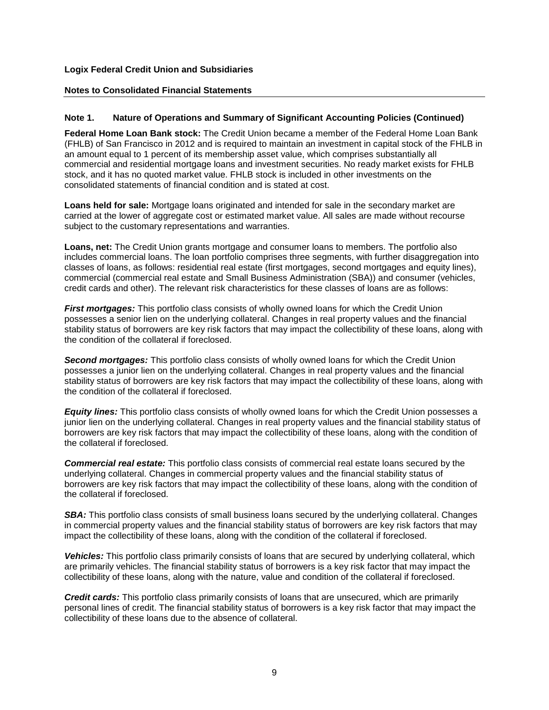#### **Notes to Consolidated Financial Statements**

# **Note 1. Nature of Operations and Summary of Significant Accounting Policies (Continued)**

**Federal Home Loan Bank stock:** The Credit Union became a member of the Federal Home Loan Bank (FHLB) of San Francisco in 2012 and is required to maintain an investment in capital stock of the FHLB in an amount equal to 1 percent of its membership asset value, which comprises substantially all commercial and residential mortgage loans and investment securities. No ready market exists for FHLB stock, and it has no quoted market value. FHLB stock is included in other investments on the consolidated statements of financial condition and is stated at cost.

**Loans held for sale:** Mortgage loans originated and intended for sale in the secondary market are carried at the lower of aggregate cost or estimated market value. All sales are made without recourse subject to the customary representations and warranties.

**Loans, net:** The Credit Union grants mortgage and consumer loans to members. The portfolio also includes commercial loans. The loan portfolio comprises three segments, with further disaggregation into classes of loans, as follows: residential real estate (first mortgages, second mortgages and equity lines), commercial (commercial real estate and Small Business Administration (SBA)) and consumer (vehicles, credit cards and other). The relevant risk characteristics for these classes of loans are as follows:

*First mortgages:* This portfolio class consists of wholly owned loans for which the Credit Union possesses a senior lien on the underlying collateral. Changes in real property values and the financial stability status of borrowers are key risk factors that may impact the collectibility of these loans, along with the condition of the collateral if foreclosed.

*Second mortgages:* This portfolio class consists of wholly owned loans for which the Credit Union possesses a junior lien on the underlying collateral. Changes in real property values and the financial stability status of borrowers are key risk factors that may impact the collectibility of these loans, along with the condition of the collateral if foreclosed.

*Equity lines:* This portfolio class consists of wholly owned loans for which the Credit Union possesses a junior lien on the underlying collateral. Changes in real property values and the financial stability status of borrowers are key risk factors that may impact the collectibility of these loans, along with the condition of the collateral if foreclosed.

*Commercial real estate:* This portfolio class consists of commercial real estate loans secured by the underlying collateral. Changes in commercial property values and the financial stability status of borrowers are key risk factors that may impact the collectibility of these loans, along with the condition of the collateral if foreclosed.

**SBA:** This portfolio class consists of small business loans secured by the underlying collateral. Changes in commercial property values and the financial stability status of borrowers are key risk factors that may impact the collectibility of these loans, along with the condition of the collateral if foreclosed.

*Vehicles:* This portfolio class primarily consists of loans that are secured by underlying collateral, which are primarily vehicles. The financial stability status of borrowers is a key risk factor that may impact the collectibility of these loans, along with the nature, value and condition of the collateral if foreclosed.

*Credit cards:* This portfolio class primarily consists of loans that are unsecured, which are primarily personal lines of credit. The financial stability status of borrowers is a key risk factor that may impact the collectibility of these loans due to the absence of collateral.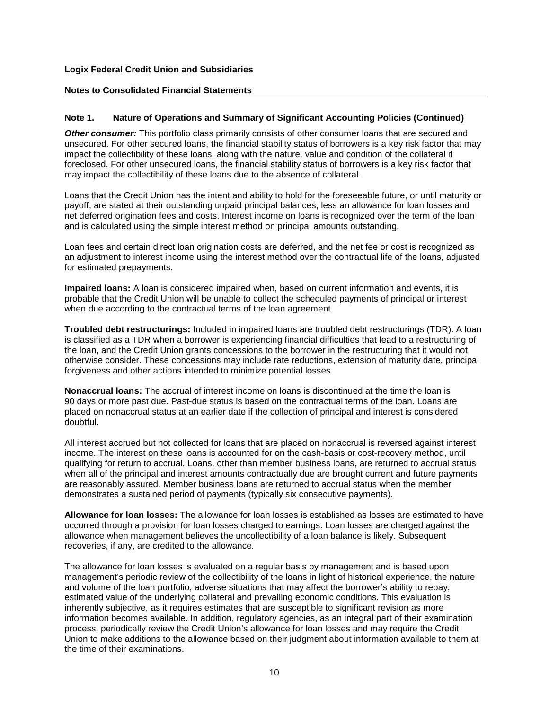#### **Notes to Consolidated Financial Statements**

## **Note 1. Nature of Operations and Summary of Significant Accounting Policies (Continued)**

*Other consumer:* This portfolio class primarily consists of other consumer loans that are secured and unsecured. For other secured loans, the financial stability status of borrowers is a key risk factor that may impact the collectibility of these loans, along with the nature, value and condition of the collateral if foreclosed. For other unsecured loans, the financial stability status of borrowers is a key risk factor that may impact the collectibility of these loans due to the absence of collateral.

Loans that the Credit Union has the intent and ability to hold for the foreseeable future, or until maturity or payoff, are stated at their outstanding unpaid principal balances, less an allowance for loan losses and net deferred origination fees and costs. Interest income on loans is recognized over the term of the loan and is calculated using the simple interest method on principal amounts outstanding.

Loan fees and certain direct loan origination costs are deferred, and the net fee or cost is recognized as an adjustment to interest income using the interest method over the contractual life of the loans, adjusted for estimated prepayments.

**Impaired loans:** A loan is considered impaired when, based on current information and events, it is probable that the Credit Union will be unable to collect the scheduled payments of principal or interest when due according to the contractual terms of the loan agreement.

**Troubled debt restructurings:** Included in impaired loans are troubled debt restructurings (TDR). A loan is classified as a TDR when a borrower is experiencing financial difficulties that lead to a restructuring of the loan, and the Credit Union grants concessions to the borrower in the restructuring that it would not otherwise consider. These concessions may include rate reductions, extension of maturity date, principal forgiveness and other actions intended to minimize potential losses.

**Nonaccrual loans:** The accrual of interest income on loans is discontinued at the time the loan is 90 days or more past due. Past-due status is based on the contractual terms of the loan. Loans are placed on nonaccrual status at an earlier date if the collection of principal and interest is considered doubtful.

All interest accrued but not collected for loans that are placed on nonaccrual is reversed against interest income. The interest on these loans is accounted for on the cash-basis or cost-recovery method, until qualifying for return to accrual. Loans, other than member business loans, are returned to accrual status when all of the principal and interest amounts contractually due are brought current and future payments are reasonably assured. Member business loans are returned to accrual status when the member demonstrates a sustained period of payments (typically six consecutive payments).

**Allowance for loan losses:** The allowance for loan losses is established as losses are estimated to have occurred through a provision for loan losses charged to earnings. Loan losses are charged against the allowance when management believes the uncollectibility of a loan balance is likely. Subsequent recoveries, if any, are credited to the allowance.

The allowance for loan losses is evaluated on a regular basis by management and is based upon management's periodic review of the collectibility of the loans in light of historical experience, the nature and volume of the loan portfolio, adverse situations that may affect the borrower's ability to repay, estimated value of the underlying collateral and prevailing economic conditions. This evaluation is inherently subjective, as it requires estimates that are susceptible to significant revision as more information becomes available. In addition, regulatory agencies, as an integral part of their examination process, periodically review the Credit Union's allowance for loan losses and may require the Credit Union to make additions to the allowance based on their judgment about information available to them at the time of their examinations.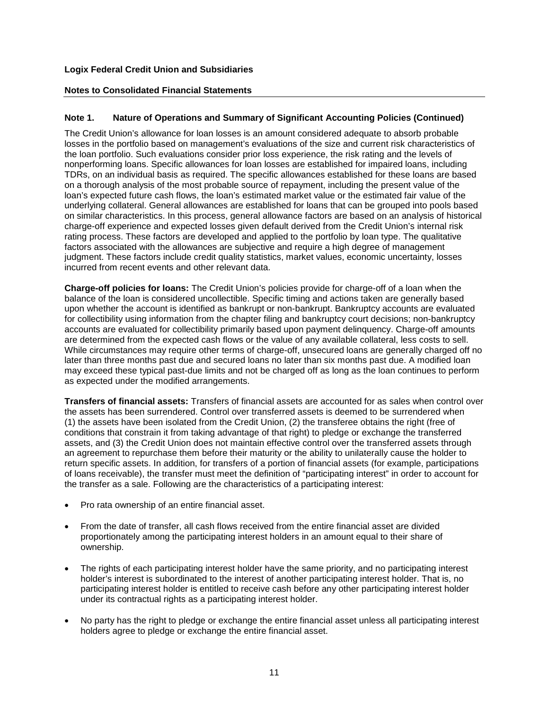## **Notes to Consolidated Financial Statements**

# **Note 1. Nature of Operations and Summary of Significant Accounting Policies (Continued)**

The Credit Union's allowance for loan losses is an amount considered adequate to absorb probable losses in the portfolio based on management's evaluations of the size and current risk characteristics of the loan portfolio. Such evaluations consider prior loss experience, the risk rating and the levels of nonperforming loans. Specific allowances for loan losses are established for impaired loans, including TDRs, on an individual basis as required. The specific allowances established for these loans are based on a thorough analysis of the most probable source of repayment, including the present value of the loan's expected future cash flows, the loan's estimated market value or the estimated fair value of the underlying collateral. General allowances are established for loans that can be grouped into pools based on similar characteristics. In this process, general allowance factors are based on an analysis of historical charge-off experience and expected losses given default derived from the Credit Union's internal risk rating process. These factors are developed and applied to the portfolio by loan type. The qualitative factors associated with the allowances are subjective and require a high degree of management judgment. These factors include credit quality statistics, market values, economic uncertainty, losses incurred from recent events and other relevant data.

**Charge-off policies for loans:** The Credit Union's policies provide for charge-off of a loan when the balance of the loan is considered uncollectible. Specific timing and actions taken are generally based upon whether the account is identified as bankrupt or non-bankrupt. Bankruptcy accounts are evaluated for collectibility using information from the chapter filing and bankruptcy court decisions; non-bankruptcy accounts are evaluated for collectibility primarily based upon payment delinquency. Charge-off amounts are determined from the expected cash flows or the value of any available collateral, less costs to sell. While circumstances may require other terms of charge-off, unsecured loans are generally charged off no later than three months past due and secured loans no later than six months past due. A modified loan may exceed these typical past-due limits and not be charged off as long as the loan continues to perform as expected under the modified arrangements.

**Transfers of financial assets:** Transfers of financial assets are accounted for as sales when control over the assets has been surrendered. Control over transferred assets is deemed to be surrendered when (1) the assets have been isolated from the Credit Union, (2) the transferee obtains the right (free of conditions that constrain it from taking advantage of that right) to pledge or exchange the transferred assets, and (3) the Credit Union does not maintain effective control over the transferred assets through an agreement to repurchase them before their maturity or the ability to unilaterally cause the holder to return specific assets. In addition, for transfers of a portion of financial assets (for example, participations of loans receivable), the transfer must meet the definition of "participating interest" in order to account for the transfer as a sale. Following are the characteristics of a participating interest:

- Pro rata ownership of an entire financial asset.
- From the date of transfer, all cash flows received from the entire financial asset are divided proportionately among the participating interest holders in an amount equal to their share of ownership.
- The rights of each participating interest holder have the same priority, and no participating interest holder's interest is subordinated to the interest of another participating interest holder. That is, no participating interest holder is entitled to receive cash before any other participating interest holder under its contractual rights as a participating interest holder.
- No party has the right to pledge or exchange the entire financial asset unless all participating interest holders agree to pledge or exchange the entire financial asset.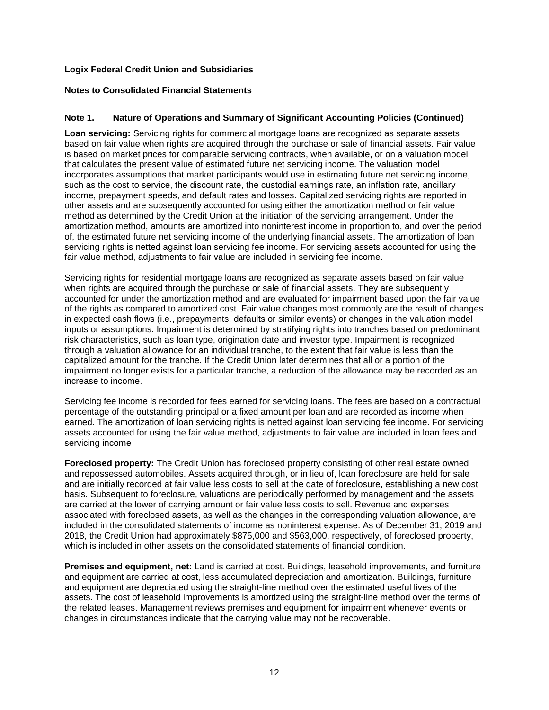#### **Notes to Consolidated Financial Statements**

# **Note 1. Nature of Operations and Summary of Significant Accounting Policies (Continued)**

**Loan servicing:** Servicing rights for commercial mortgage loans are recognized as separate assets based on fair value when rights are acquired through the purchase or sale of financial assets. Fair value is based on market prices for comparable servicing contracts, when available, or on a valuation model that calculates the present value of estimated future net servicing income. The valuation model incorporates assumptions that market participants would use in estimating future net servicing income, such as the cost to service, the discount rate, the custodial earnings rate, an inflation rate, ancillary income, prepayment speeds, and default rates and losses. Capitalized servicing rights are reported in other assets and are subsequently accounted for using either the amortization method or fair value method as determined by the Credit Union at the initiation of the servicing arrangement. Under the amortization method, amounts are amortized into noninterest income in proportion to, and over the period of, the estimated future net servicing income of the underlying financial assets. The amortization of loan servicing rights is netted against loan servicing fee income. For servicing assets accounted for using the fair value method, adjustments to fair value are included in servicing fee income.

Servicing rights for residential mortgage loans are recognized as separate assets based on fair value when rights are acquired through the purchase or sale of financial assets. They are subsequently accounted for under the amortization method and are evaluated for impairment based upon the fair value of the rights as compared to amortized cost. Fair value changes most commonly are the result of changes in expected cash flows (i.e., prepayments, defaults or similar events) or changes in the valuation model inputs or assumptions. Impairment is determined by stratifying rights into tranches based on predominant risk characteristics, such as loan type, origination date and investor type. Impairment is recognized through a valuation allowance for an individual tranche, to the extent that fair value is less than the capitalized amount for the tranche. If the Credit Union later determines that all or a portion of the impairment no longer exists for a particular tranche, a reduction of the allowance may be recorded as an increase to income.

Servicing fee income is recorded for fees earned for servicing loans. The fees are based on a contractual percentage of the outstanding principal or a fixed amount per loan and are recorded as income when earned. The amortization of loan servicing rights is netted against loan servicing fee income. For servicing assets accounted for using the fair value method, adjustments to fair value are included in loan fees and servicing income

**Foreclosed property:** The Credit Union has foreclosed property consisting of other real estate owned and repossessed automobiles. Assets acquired through, or in lieu of, loan foreclosure are held for sale and are initially recorded at fair value less costs to sell at the date of foreclosure, establishing a new cost basis. Subsequent to foreclosure, valuations are periodically performed by management and the assets are carried at the lower of carrying amount or fair value less costs to sell. Revenue and expenses associated with foreclosed assets, as well as the changes in the corresponding valuation allowance, are included in the consolidated statements of income as noninterest expense. As of December 31, 2019 and 2018, the Credit Union had approximately \$875,000 and \$563,000, respectively, of foreclosed property, which is included in other assets on the consolidated statements of financial condition.

**Premises and equipment, net:** Land is carried at cost. Buildings, leasehold improvements, and furniture and equipment are carried at cost, less accumulated depreciation and amortization. Buildings, furniture and equipment are depreciated using the straight-line method over the estimated useful lives of the assets. The cost of leasehold improvements is amortized using the straight-line method over the terms of the related leases. Management reviews premises and equipment for impairment whenever events or changes in circumstances indicate that the carrying value may not be recoverable.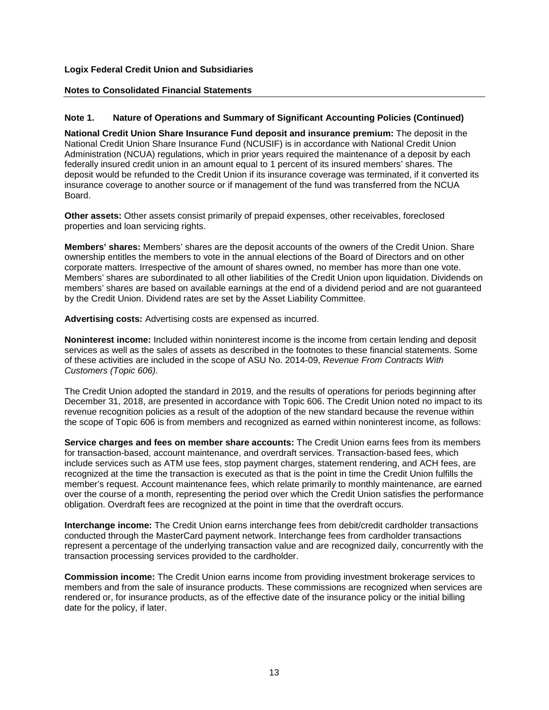## **Notes to Consolidated Financial Statements**

# **Note 1. Nature of Operations and Summary of Significant Accounting Policies (Continued)**

**National Credit Union Share Insurance Fund deposit and insurance premium:** The deposit in the National Credit Union Share Insurance Fund (NCUSIF) is in accordance with National Credit Union Administration (NCUA) regulations, which in prior years required the maintenance of a deposit by each federally insured credit union in an amount equal to 1 percent of its insured members' shares. The deposit would be refunded to the Credit Union if its insurance coverage was terminated, if it converted its insurance coverage to another source or if management of the fund was transferred from the NCUA Board.

**Other assets:** Other assets consist primarily of prepaid expenses, other receivables, foreclosed properties and loan servicing rights.

**Members' shares:** Members' shares are the deposit accounts of the owners of the Credit Union. Share ownership entitles the members to vote in the annual elections of the Board of Directors and on other corporate matters. Irrespective of the amount of shares owned, no member has more than one vote. Members' shares are subordinated to all other liabilities of the Credit Union upon liquidation. Dividends on members' shares are based on available earnings at the end of a dividend period and are not guaranteed by the Credit Union. Dividend rates are set by the Asset Liability Committee.

**Advertising costs:** Advertising costs are expensed as incurred.

**Noninterest income:** Included within noninterest income is the income from certain lending and deposit services as well as the sales of assets as described in the footnotes to these financial statements. Some of these activities are included in the scope of ASU No. 2014-09, *Revenue From Contracts With Customers (Topic 606).*

The Credit Union adopted the standard in 2019, and the results of operations for periods beginning after December 31, 2018, are presented in accordance with Topic 606. The Credit Union noted no impact to its revenue recognition policies as a result of the adoption of the new standard because the revenue within the scope of Topic 606 is from members and recognized as earned within noninterest income, as follows:

**Service charges and fees on member share accounts:** The Credit Union earns fees from its members for transaction-based, account maintenance, and overdraft services. Transaction-based fees, which include services such as ATM use fees, stop payment charges, statement rendering, and ACH fees, are recognized at the time the transaction is executed as that is the point in time the Credit Union fulfills the member's request. Account maintenance fees, which relate primarily to monthly maintenance, are earned over the course of a month, representing the period over which the Credit Union satisfies the performance obligation. Overdraft fees are recognized at the point in time that the overdraft occurs.

**Interchange income:** The Credit Union earns interchange fees from debit/credit cardholder transactions conducted through the MasterCard payment network. Interchange fees from cardholder transactions represent a percentage of the underlying transaction value and are recognized daily, concurrently with the transaction processing services provided to the cardholder.

**Commission income:** The Credit Union earns income from providing investment brokerage services to members and from the sale of insurance products. These commissions are recognized when services are rendered or, for insurance products, as of the effective date of the insurance policy or the initial billing date for the policy, if later.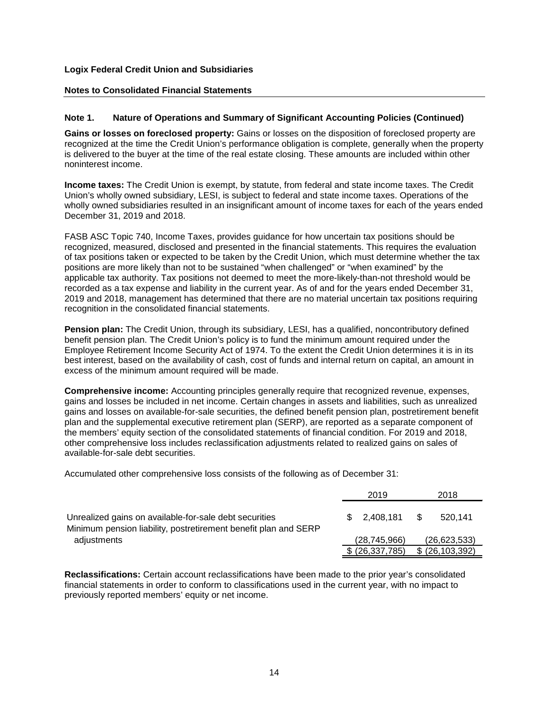#### **Notes to Consolidated Financial Statements**

#### **Note 1. Nature of Operations and Summary of Significant Accounting Policies (Continued)**

**Gains or losses on foreclosed property:** Gains or losses on the disposition of foreclosed property are recognized at the time the Credit Union's performance obligation is complete, generally when the property is delivered to the buyer at the time of the real estate closing. These amounts are included within other noninterest income.

**Income taxes:** The Credit Union is exempt, by statute, from federal and state income taxes. The Credit Union's wholly owned subsidiary, LESI, is subject to federal and state income taxes. Operations of the wholly owned subsidiaries resulted in an insignificant amount of income taxes for each of the years ended December 31, 2019 and 2018.

FASB ASC Topic 740, Income Taxes, provides guidance for how uncertain tax positions should be recognized, measured, disclosed and presented in the financial statements. This requires the evaluation of tax positions taken or expected to be taken by the Credit Union, which must determine whether the tax positions are more likely than not to be sustained "when challenged" or "when examined" by the applicable tax authority. Tax positions not deemed to meet the more-likely-than-not threshold would be recorded as a tax expense and liability in the current year. As of and for the years ended December 31, 2019 and 2018, management has determined that there are no material uncertain tax positions requiring recognition in the consolidated financial statements.

**Pension plan:** The Credit Union, through its subsidiary, LESI, has a qualified, noncontributory defined benefit pension plan. The Credit Union's policy is to fund the minimum amount required under the Employee Retirement Income Security Act of 1974. To the extent the Credit Union determines it is in its best interest, based on the availability of cash, cost of funds and internal return on capital, an amount in excess of the minimum amount required will be made.

**Comprehensive income:** Accounting principles generally require that recognized revenue, expenses, gains and losses be included in net income. Certain changes in assets and liabilities, such as unrealized gains and losses on available-for-sale securities, the defined benefit pension plan, postretirement benefit plan and the supplemental executive retirement plan (SERP), are reported as a separate component of the members' equity section of the consolidated statements of financial condition. For 2019 and 2018, other comprehensive loss includes reclassification adjustments related to realized gains on sales of available-for-sale debt securities.

Accumulated other comprehensive loss consists of the following as of December 31:

|                                                                                                                           | 2019            | 2018              |
|---------------------------------------------------------------------------------------------------------------------------|-----------------|-------------------|
| Unrealized gains on available-for-sale debt securities<br>Minimum pension liability, postretirement benefit plan and SERP | \$2.408.181     | 520.141<br>£.     |
| adjustments                                                                                                               | (28,745,966)    | (26, 623, 533)    |
|                                                                                                                           | \$ (26,337,785) | \$ (26, 103, 392) |

**Reclassifications:** Certain account reclassifications have been made to the prior year's consolidated financial statements in order to conform to classifications used in the current year, with no impact to previously reported members' equity or net income.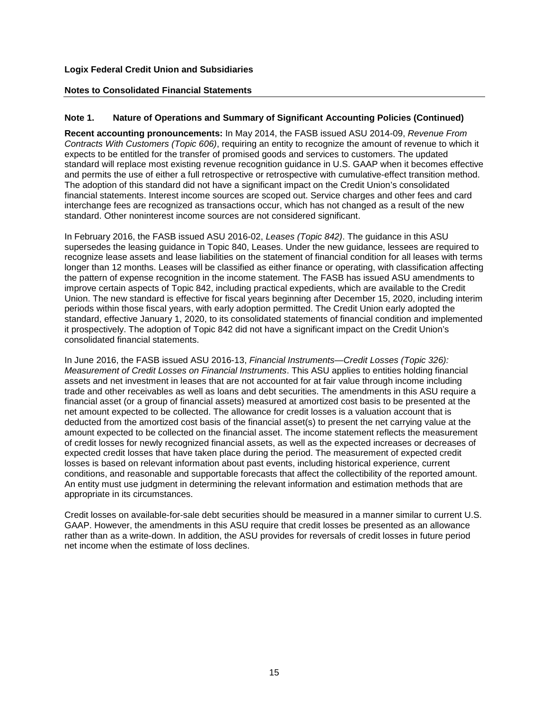## **Notes to Consolidated Financial Statements**

# **Note 1. Nature of Operations and Summary of Significant Accounting Policies (Continued)**

**Recent accounting pronouncements:** In May 2014, the FASB issued ASU 2014-09, *Revenue From Contracts With Customers (Topic 606)*, requiring an entity to recognize the amount of revenue to which it expects to be entitled for the transfer of promised goods and services to customers. The updated standard will replace most existing revenue recognition guidance in U.S. GAAP when it becomes effective and permits the use of either a full retrospective or retrospective with cumulative-effect transition method. The adoption of this standard did not have a significant impact on the Credit Union's consolidated financial statements. Interest income sources are scoped out. Service charges and other fees and card interchange fees are recognized as transactions occur, which has not changed as a result of the new standard. Other noninterest income sources are not considered significant.

In February 2016, the FASB issued ASU 2016-02, *Leases (Topic 842)*. The guidance in this ASU supersedes the leasing guidance in Topic 840, Leases. Under the new guidance, lessees are required to recognize lease assets and lease liabilities on the statement of financial condition for all leases with terms longer than 12 months. Leases will be classified as either finance or operating, with classification affecting the pattern of expense recognition in the income statement. The FASB has issued ASU amendments to improve certain aspects of Topic 842, including practical expedients, which are available to the Credit Union. The new standard is effective for fiscal years beginning after December 15, 2020, including interim periods within those fiscal years, with early adoption permitted. The Credit Union early adopted the standard, effective January 1, 2020, to its consolidated statements of financial condition and implemented it prospectively. The adoption of Topic 842 did not have a significant impact on the Credit Union's consolidated financial statements.

In June 2016, the FASB issued ASU 2016-13, *Financial Instruments—Credit Losses (Topic 326): Measurement of Credit Losses on Financial Instruments*. This ASU applies to entities holding financial assets and net investment in leases that are not accounted for at fair value through income including trade and other receivables as well as loans and debt securities. The amendments in this ASU require a financial asset (or a group of financial assets) measured at amortized cost basis to be presented at the net amount expected to be collected. The allowance for credit losses is a valuation account that is deducted from the amortized cost basis of the financial asset(s) to present the net carrying value at the amount expected to be collected on the financial asset. The income statement reflects the measurement of credit losses for newly recognized financial assets, as well as the expected increases or decreases of expected credit losses that have taken place during the period. The measurement of expected credit losses is based on relevant information about past events, including historical experience, current conditions, and reasonable and supportable forecasts that affect the collectibility of the reported amount. An entity must use judgment in determining the relevant information and estimation methods that are appropriate in its circumstances.

Credit losses on available-for-sale debt securities should be measured in a manner similar to current U.S. GAAP. However, the amendments in this ASU require that credit losses be presented as an allowance rather than as a write-down. In addition, the ASU provides for reversals of credit losses in future period net income when the estimate of loss declines.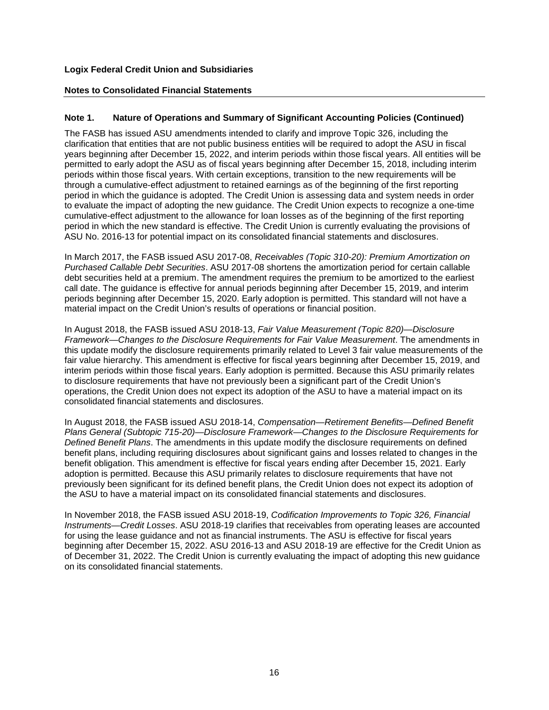## **Notes to Consolidated Financial Statements**

# **Note 1. Nature of Operations and Summary of Significant Accounting Policies (Continued)**

The FASB has issued ASU amendments intended to clarify and improve Topic 326, including the clarification that entities that are not public business entities will be required to adopt the ASU in fiscal years beginning after December 15, 2022, and interim periods within those fiscal years. All entities will be permitted to early adopt the ASU as of fiscal years beginning after December 15, 2018, including interim periods within those fiscal years. With certain exceptions, transition to the new requirements will be through a cumulative-effect adjustment to retained earnings as of the beginning of the first reporting period in which the guidance is adopted. The Credit Union is assessing data and system needs in order to evaluate the impact of adopting the new guidance. The Credit Union expects to recognize a one-time cumulative-effect adjustment to the allowance for loan losses as of the beginning of the first reporting period in which the new standard is effective. The Credit Union is currently evaluating the provisions of ASU No. 2016-13 for potential impact on its consolidated financial statements and disclosures.

In March 2017, the FASB issued ASU 2017-08, *Receivables (Topic 310-20): Premium Amortization on Purchased Callable Debt Securities*. ASU 2017-08 shortens the amortization period for certain callable debt securities held at a premium. The amendment requires the premium to be amortized to the earliest call date. The guidance is effective for annual periods beginning after December 15, 2019, and interim periods beginning after December 15, 2020. Early adoption is permitted. This standard will not have a material impact on the Credit Union's results of operations or financial position.

In August 2018, the FASB issued ASU 2018-13, *Fair Value Measurement (Topic 820)—Disclosure Framework—Changes to the Disclosure Requirements for Fair Value Measurement*. The amendments in this update modify the disclosure requirements primarily related to Level 3 fair value measurements of the fair value hierarchy. This amendment is effective for fiscal years beginning after December 15, 2019, and interim periods within those fiscal years. Early adoption is permitted. Because this ASU primarily relates to disclosure requirements that have not previously been a significant part of the Credit Union's operations, the Credit Union does not expect its adoption of the ASU to have a material impact on its consolidated financial statements and disclosures.

In August 2018, the FASB issued ASU 2018-14, *Compensation—Retirement Benefits—Defined Benefit Plans General (Subtopic 715-20)—Disclosure Framework—Changes to the Disclosure Requirements for Defined Benefit Plans*. The amendments in this update modify the disclosure requirements on defined benefit plans, including requiring disclosures about significant gains and losses related to changes in the benefit obligation. This amendment is effective for fiscal years ending after December 15, 2021. Early adoption is permitted. Because this ASU primarily relates to disclosure requirements that have not previously been significant for its defined benefit plans, the Credit Union does not expect its adoption of the ASU to have a material impact on its consolidated financial statements and disclosures.

In November 2018, the FASB issued ASU 2018-19, *Codification Improvements to Topic 326, Financial Instruments—Credit Losses*. ASU 2018-19 clarifies that receivables from operating leases are accounted for using the lease guidance and not as financial instruments. The ASU is effective for fiscal years beginning after December 15, 2022. ASU 2016-13 and ASU 2018-19 are effective for the Credit Union as of December 31, 2022. The Credit Union is currently evaluating the impact of adopting this new guidance on its consolidated financial statements.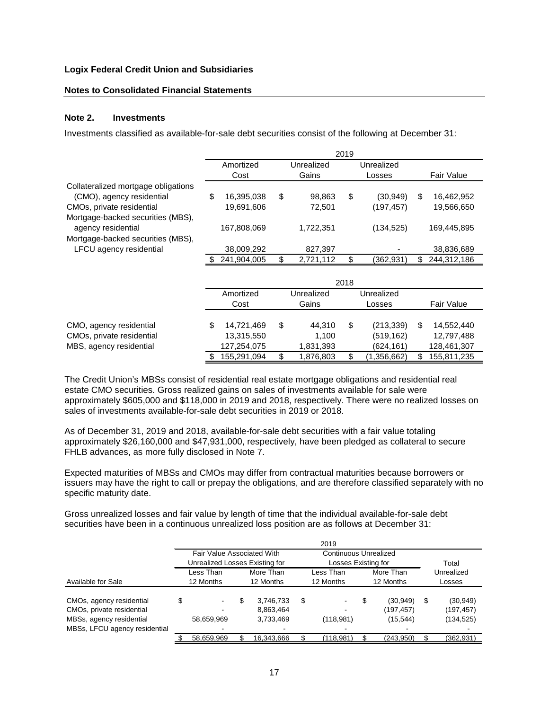#### **Notes to Consolidated Financial Statements**

#### **Note 2. Investments**

Investments classified as available-for-sale debt securities consist of the following at December 31:

|                                     |                  |              | 2019 |            |    |                |
|-------------------------------------|------------------|--------------|------|------------|----|----------------|
|                                     | Amortized        | Unrealized   |      | Unrealized |    |                |
|                                     | Cost             | Gains        |      | Losses     |    | Fair Value     |
| Collateralized mortgage obligations |                  |              |      |            |    |                |
| (CMO), agency residential           | \$<br>16,395,038 | \$<br>98,863 | \$   | (30, 949)  | \$ | 16,462,952     |
| CMOs, private residential           | 19,691,606       | 72,501       |      | (197, 457) |    | 19,566,650     |
| Mortgage-backed securities (MBS),   |                  |              |      |            |    |                |
| agency residential                  | 167,808,069      | 1,722,351    |      | (134, 525) |    | 169,445,895    |
| Mortgage-backed securities (MBS),   |                  |              |      |            |    |                |
| <b>LFCU</b> agency residential      | 38,009,292       | 827,397      |      |            |    | 38,836,689     |
|                                     | 241,904,005      | 2,721,112    |      | (362,931)  | S  | 244,312,186    |
|                                     |                  |              |      |            |    |                |
|                                     |                  |              | 2018 |            |    |                |
|                                     | Amortized        | Unrealized   |      | Unrealized |    |                |
|                                     | 0.001            | Coina        |      | 0.0000     |    | $E_0$ ir Voluo |

|                           | Cost        | Gains     | Losses      | Fair Value  |  |  |
|---------------------------|-------------|-----------|-------------|-------------|--|--|
|                           |             |           |             |             |  |  |
| CMO, agency residential   | 14,721,469  | 44.310    | (213, 339)  | 14.552.440  |  |  |
| CMOs, private residential | 13,315,550  | 1.100     | (519, 162)  | 12.797.488  |  |  |
| MBS, agency residential   | 127.254.075 | 1.831.393 | (624.161)   | 128.461.307 |  |  |
|                           | 155,291,094 | 1,876,803 | (1,356,662) | 155.811.235 |  |  |

The Credit Union's MBSs consist of residential real estate mortgage obligations and residential real estate CMO securities. Gross realized gains on sales of investments available for sale were approximately \$605,000 and \$118,000 in 2019 and 2018, respectively. There were no realized losses on sales of investments available-for-sale debt securities in 2019 or 2018.

As of December 31, 2019 and 2018, available-for-sale debt securities with a fair value totaling approximately \$26,160,000 and \$47,931,000, respectively, have been pledged as collateral to secure FHLB advances, as more fully disclosed in Note 7.

Expected maturities of MBSs and CMOs may differ from contractual maturities because borrowers or issuers may have the right to call or prepay the obligations, and are therefore classified separately with no specific maturity date.

Gross unrealized losses and fair value by length of time that the individual available-for-sale debt securities have been in a continuous unrealized loss position are as follows at December 31:

|                               |                                |   |            | 2019                     |                |   |            |
|-------------------------------|--------------------------------|---|------------|--------------------------|----------------|---|------------|
|                               | Fair Value Associated With     |   |            | Continuous Unrealized    |                |   |            |
|                               | Unrealized Losses Existing for |   |            | Losses Existing for      |                |   | Total      |
|                               | Less Than                      |   | More Than  | Less Than                | More Than      |   | Unrealized |
| Available for Sale            | 12 Months                      |   | 12 Months  | 12 Months                | 12 Months      |   | Losses     |
|                               |                                |   |            |                          |                |   |            |
| CMOs, agency residential      | \$<br>٠                        | S | 3.746.733  | \$<br>۰.                 | \$<br>(30,949) | S | (30, 949)  |
| CMOs, private residential     |                                |   | 8,863,464  |                          | (197,457)      |   | (197,457)  |
| MBSs, agency residential      | 58,659,969                     |   | 3,733,469  | (118,981)                | (15, 544)      |   | (134,525)  |
| MBSs, LFCU agency residential | ٠                              |   |            | $\overline{\phantom{a}}$ |                |   |            |
|                               | 58,659,969                     |   | 16.343.666 | (118.981)                | (243.950)      |   | (362.931)  |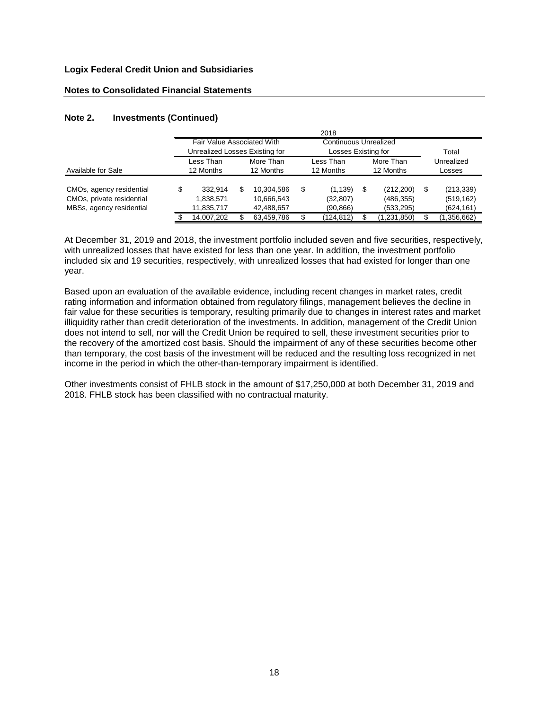#### **Notes to Consolidated Financial Statements**

## **Note 2. Investments (Continued)**

|                           |                                |            | 2018                  |   |             |   |             |
|---------------------------|--------------------------------|------------|-----------------------|---|-------------|---|-------------|
|                           | Fair Value Associated With     |            | Continuous Unrealized |   |             |   |             |
|                           | Unrealized Losses Existing for |            | Losses Existing for   |   |             |   | Total       |
|                           | Less Than                      | More Than  | Less Than             |   | More Than   |   | Unrealized  |
| Available for Sale        | 12 Months                      | 12 Months  | 12 Months             |   | 12 Months   |   | Losses      |
|                           |                                |            |                       |   |             |   |             |
| CMOs, agency residential  | \$<br>332.914                  | 10.304.586 | \$<br>(1, 139)        | S | (212, 200)  | S | (213, 339)  |
| CMOs, private residential | 1,838,571                      | 10,666,543 | (32, 807)             |   | (486, 355)  |   | (519, 162)  |
| MBSs, agency residential  | 11,835,717                     | 42,488,657 | (90, 866)             |   | (533, 295)  |   | (624, 161)  |
|                           | 14,007,202                     | 63,459,786 | (124,812)             |   | (1,231,850) |   | (1,356,662) |

At December 31, 2019 and 2018, the investment portfolio included seven and five securities, respectively, with unrealized losses that have existed for less than one year. In addition, the investment portfolio included six and 19 securities, respectively, with unrealized losses that had existed for longer than one year.

Based upon an evaluation of the available evidence, including recent changes in market rates, credit rating information and information obtained from regulatory filings, management believes the decline in fair value for these securities is temporary, resulting primarily due to changes in interest rates and market illiquidity rather than credit deterioration of the investments. In addition, management of the Credit Union does not intend to sell, nor will the Credit Union be required to sell, these investment securities prior to the recovery of the amortized cost basis. Should the impairment of any of these securities become other than temporary, the cost basis of the investment will be reduced and the resulting loss recognized in net income in the period in which the other-than-temporary impairment is identified.

Other investments consist of FHLB stock in the amount of \$17,250,000 at both December 31, 2019 and 2018. FHLB stock has been classified with no contractual maturity.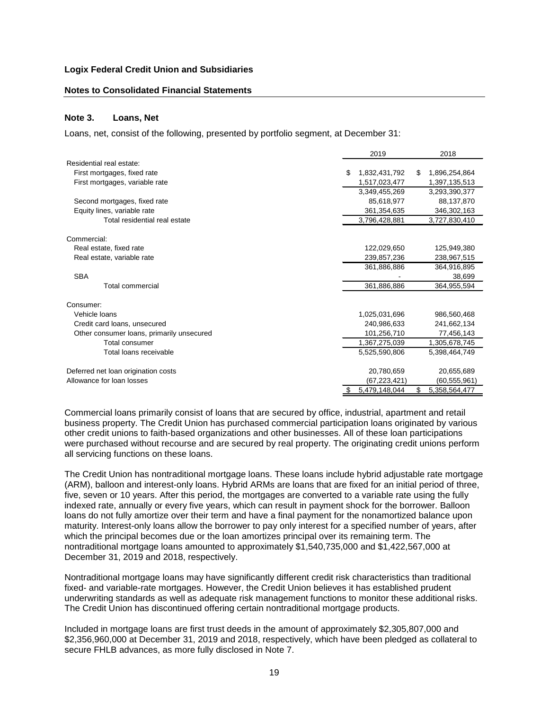#### **Notes to Consolidated Financial Statements**

#### **Note 3. Loans, Net**

Loans, net, consist of the following, presented by portfolio segment, at December 31:

|                                           | 2019                | 2018                |
|-------------------------------------------|---------------------|---------------------|
| Residential real estate:                  |                     |                     |
| First mortgages, fixed rate               | \$<br>1,832,431,792 | 1,896,254,864<br>\$ |
| First mortgages, variable rate            | 1,517,023,477       | 1,397,135,513       |
|                                           | 3,349,455,269       | 3,293,390,377       |
| Second mortgages, fixed rate              | 85,618,977          | 88,137,870          |
| Equity lines, variable rate               | 361,354,635         | 346,302,163         |
| Total residential real estate             | 3,796,428,881       | 3,727,830,410       |
| Commercial:                               |                     |                     |
| Real estate, fixed rate                   | 122,029,650         | 125,949,380         |
| Real estate, variable rate                | 239,857,236         | 238,967,515         |
|                                           | 361,886,886         | 364,916,895         |
| <b>SBA</b>                                |                     | 38,699              |
| Total commercial                          | 361,886,886         | 364.955.594         |
| Consumer:                                 |                     |                     |
| Vehicle loans                             | 1,025,031,696       | 986,560,468         |
| Credit card loans, unsecured              | 240,986,633         | 241,662,134         |
| Other consumer loans, primarily unsecured | 101,256,710         | 77,456,143          |
| Total consumer                            | 1,367,275,039       | 1,305,678,745       |
| Total loans receivable                    | 5,525,590,806       | 5,398,464,749       |
| Deferred net loan origination costs       | 20,780,659          | 20,655,689          |
| Allowance for loan losses                 | (67, 223, 421)      | (60, 555, 961)      |
|                                           | 5.479.148.044<br>S  | 5,358,564,477<br>\$ |

Commercial loans primarily consist of loans that are secured by office, industrial, apartment and retail business property. The Credit Union has purchased commercial participation loans originated by various other credit unions to faith-based organizations and other businesses. All of these loan participations were purchased without recourse and are secured by real property. The originating credit unions perform all servicing functions on these loans.

The Credit Union has nontraditional mortgage loans. These loans include hybrid adjustable rate mortgage (ARM), balloon and interest-only loans. Hybrid ARMs are loans that are fixed for an initial period of three, five, seven or 10 years. After this period, the mortgages are converted to a variable rate using the fully indexed rate, annually or every five years, which can result in payment shock for the borrower. Balloon loans do not fully amortize over their term and have a final payment for the nonamortized balance upon maturity. Interest-only loans allow the borrower to pay only interest for a specified number of years, after which the principal becomes due or the loan amortizes principal over its remaining term. The nontraditional mortgage loans amounted to approximately \$1,540,735,000 and \$1,422,567,000 at December 31, 2019 and 2018, respectively.

Nontraditional mortgage loans may have significantly different credit risk characteristics than traditional fixed- and variable-rate mortgages. However, the Credit Union believes it has established prudent underwriting standards as well as adequate risk management functions to monitor these additional risks. The Credit Union has discontinued offering certain nontraditional mortgage products.

Included in mortgage loans are first trust deeds in the amount of approximately \$2,305,807,000 and \$2,356,960,000 at December 31, 2019 and 2018, respectively, which have been pledged as collateral to secure FHLB advances, as more fully disclosed in Note 7.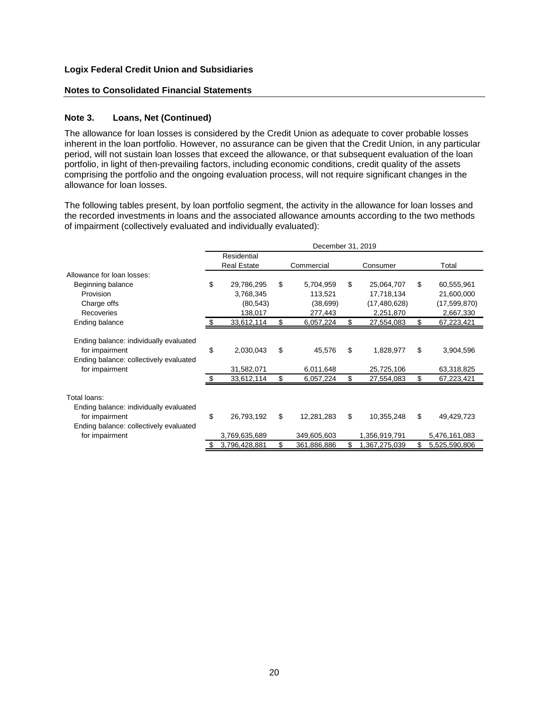#### **Notes to Consolidated Financial Statements**

## **Note 3. Loans, Net (Continued)**

The allowance for loan losses is considered by the Credit Union as adequate to cover probable losses inherent in the loan portfolio. However, no assurance can be given that the Credit Union, in any particular period, will not sustain loan losses that exceed the allowance, or that subsequent evaluation of the loan portfolio, in light of then-prevailing factors, including economic conditions, credit quality of the assets comprising the portfolio and the ongoing evaluation process, will not require significant changes in the allowance for loan losses.

The following tables present, by loan portfolio segment, the activity in the allowance for loan losses and the recorded investments in loans and the associated allowance amounts according to the two methods of impairment (collectively evaluated and individually evaluated):

|                                        |                    | December 31, 2019 |                     |    |               |
|----------------------------------------|--------------------|-------------------|---------------------|----|---------------|
|                                        | Residential        |                   |                     |    |               |
|                                        | <b>Real Estate</b> | Commercial        | Consumer            |    | Total         |
| Allowance for loan losses:             |                    |                   |                     |    |               |
| Beginning balance                      | \$<br>29,786,295   | \$<br>5,704,959   | \$<br>25,064,707    | S  | 60,555,961    |
| Provision                              | 3,768,345          | 113,521           | 17,718,134          |    | 21,600,000    |
| Charge offs                            | (80, 543)          | (38,699)          | (17, 480, 628)      |    | (17,599,870)  |
| Recoveries                             | 138,017            | 277,443           | 2,251,870           |    | 2,667,330     |
| Ending balance                         | 33,612,114         | \$<br>6,057,224   | \$<br>27,554,083    | \$ | 67,223,421    |
|                                        |                    |                   |                     |    |               |
| Ending balance: individually evaluated |                    |                   |                     |    |               |
| for impairment                         | \$<br>2,030,043    | \$<br>45,576      | \$<br>1,828,977     | \$ | 3,904,596     |
| Ending balance: collectively evaluated |                    |                   |                     |    |               |
| for impairment                         | 31,582,071         | 6,011,648         | 25,725,106          |    | 63,318,825    |
|                                        | 33,612,114         | \$<br>6,057,224   | \$<br>27,554,083    | \$ | 67,223,421    |
|                                        |                    |                   |                     |    |               |
| Total loans:                           |                    |                   |                     |    |               |
| Ending balance: individually evaluated |                    |                   |                     |    |               |
| for impairment                         | \$<br>26,793,192   | \$<br>12,281,283  | \$<br>10,355,248    | \$ | 49,429,723    |
| Ending balance: collectively evaluated |                    |                   |                     |    |               |
| for impairment                         | 3,769,635,689      | 349,605,603       | 1,356,919,791       |    | 5,476,161,083 |
|                                        | 3,796,428,881      | \$<br>361,886,886 | \$<br>1,367,275,039 | S  | 5,525,590,806 |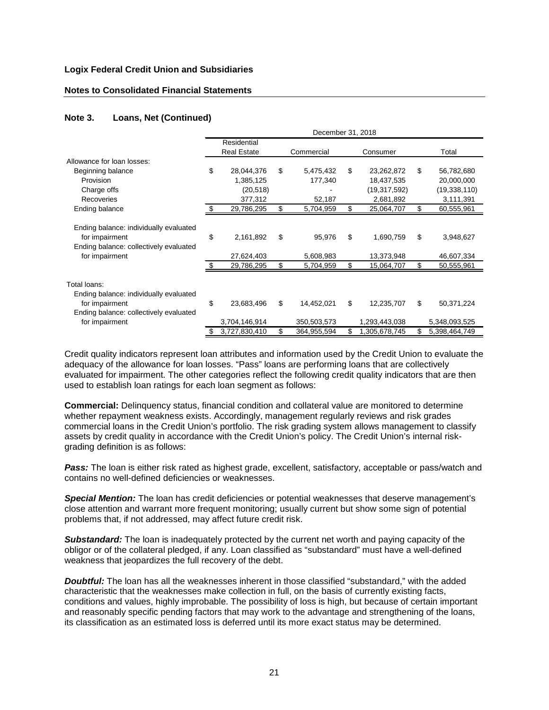#### **Notes to Consolidated Financial Statements**

# **Note 3. Loans, Net (Continued)**

|                                        | December 31, 2018 |                    |    |             |    |                |     |                |
|----------------------------------------|-------------------|--------------------|----|-------------|----|----------------|-----|----------------|
|                                        |                   | Residential        |    |             |    |                |     |                |
|                                        |                   | <b>Real Estate</b> |    | Commercial  |    | Consumer       |     | Total          |
| Allowance for loan losses:             |                   |                    |    |             |    |                |     |                |
| Beginning balance                      | \$                | 28,044,376         | \$ | 5,475,432   | \$ | 23,262,872     | \$  | 56,782,680     |
| Provision                              |                   | 1,385,125          |    | 177,340     |    | 18,437,535     |     | 20,000,000     |
| Charge offs                            |                   | (20, 518)          |    |             |    | (19, 317, 592) |     | (19, 338, 110) |
| Recoveries                             |                   | 377,312            |    | 52,187      |    | 2,681,892      |     | 3,111,391      |
| Ending balance                         |                   | 29,786,295         | \$ | 5,704,959   | S  | 25,064,707     |     | 60,555,961     |
| Ending balance: individually evaluated |                   |                    |    |             |    |                |     |                |
| for impairment                         | \$                | 2,161,892          | \$ | 95,976      | \$ | 1,690,759      | \$  | 3,948,627      |
| Ending balance: collectively evaluated |                   |                    |    |             |    |                |     |                |
| for impairment                         |                   | 27,624,403         |    | 5,608,983   |    | 13,373,948     |     | 46,607,334     |
|                                        |                   | 29,786,295         | \$ | 5,704,959   | \$ | 15,064,707     | \$. | 50,555,961     |
| Total loans:                           |                   |                    |    |             |    |                |     |                |
| Ending balance: individually evaluated |                   |                    |    |             |    |                |     |                |
| for impairment                         | \$                | 23,683,496         | \$ | 14,452,021  | \$ | 12,235,707     | \$  | 50,371,224     |
| Ending balance: collectively evaluated |                   |                    |    |             |    |                |     |                |
| for impairment                         |                   | 3,704,146,914      |    | 350,503,573 |    | 1,293,443,038  |     | 5,348,093,525  |
|                                        | \$                | 3,727,830,410      | \$ | 364,955,594 | \$ | 1,305,678,745  | \$. | 5,398,464,749  |

Credit quality indicators represent loan attributes and information used by the Credit Union to evaluate the adequacy of the allowance for loan losses. "Pass" loans are performing loans that are collectively evaluated for impairment. The other categories reflect the following credit quality indicators that are then used to establish loan ratings for each loan segment as follows:

**Commercial:** Delinquency status, financial condition and collateral value are monitored to determine whether repayment weakness exists. Accordingly, management regularly reviews and risk grades commercial loans in the Credit Union's portfolio. The risk grading system allows management to classify assets by credit quality in accordance with the Credit Union's policy. The Credit Union's internal riskgrading definition is as follows:

**Pass:** The loan is either risk rated as highest grade, excellent, satisfactory, acceptable or pass/watch and contains no well-defined deficiencies or weaknesses.

*Special Mention:* The loan has credit deficiencies or potential weaknesses that deserve management's close attention and warrant more frequent monitoring; usually current but show some sign of potential problems that, if not addressed, may affect future credit risk.

*Substandard:* The loan is inadequately protected by the current net worth and paying capacity of the obligor or of the collateral pledged, if any. Loan classified as "substandard" must have a well-defined weakness that jeopardizes the full recovery of the debt.

*Doubtful:* The loan has all the weaknesses inherent in those classified "substandard," with the added characteristic that the weaknesses make collection in full, on the basis of currently existing facts, conditions and values, highly improbable. The possibility of loss is high, but because of certain important and reasonably specific pending factors that may work to the advantage and strengthening of the loans, its classification as an estimated loss is deferred until its more exact status may be determined.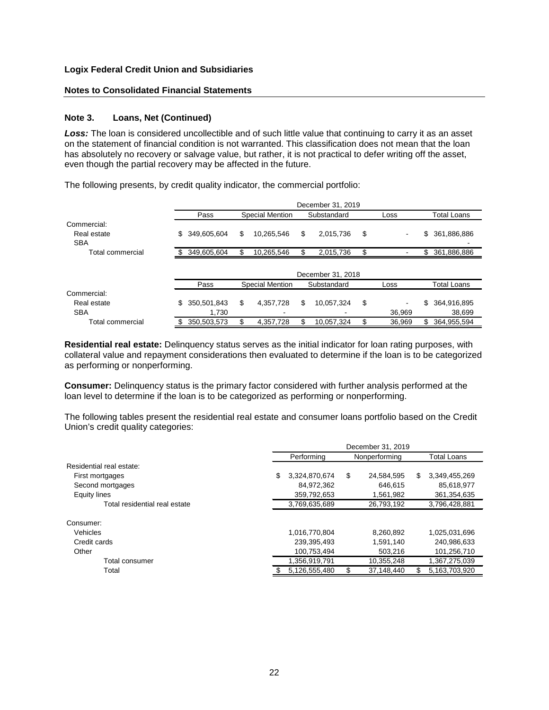## **Notes to Consolidated Financial Statements**

#### **Note 3. Loans, Net (Continued)**

Loss: The loan is considered uncollectible and of such little value that continuing to carry it as an asset on the statement of financial condition is not warranted. This classification does not mean that the loan has absolutely no recovery or salvage value, but rather, it is not practical to defer writing off the asset, even though the partial recovery may be affected in the future.

The following presents, by credit quality indicator, the commercial portfolio:

|                  |                   |                        | December 31, 2019 |              |    |             |
|------------------|-------------------|------------------------|-------------------|--------------|----|-------------|
|                  | Pass              | <b>Special Mention</b> | Substandard       | Loss         |    | Total Loans |
| Commercial:      |                   |                        |                   |              |    |             |
| Real estate      | \$<br>349,605,604 | \$<br>10,265,546       | \$<br>2,015,736   | \$<br>۰      | \$ | 361,886,886 |
| <b>SBA</b>       |                   |                        |                   |              |    |             |
| Total commercial | 349,605,604       | 10,265,546             | 2,015,736         |              | S  | 361,886,886 |
|                  |                   |                        |                   |              |    |             |
|                  |                   |                        | December 31, 2018 |              |    |             |
|                  | Pass              | Special Mention        | Substandard       | Loss         |    | Total Loans |
| Commercial:      |                   |                        |                   |              |    |             |
| Real estate      | \$<br>350,501,843 | \$<br>4.357.728        | \$<br>10,057,324  | \$           | \$ | 364,916,895 |
| <b>SBA</b>       | 1,730             |                        |                   | 36.969       |    | 38,699      |
| Total commercial | 350,503,573       | 4.357.728              | 10.057.324        | \$<br>36.969 | \$ | 364.955.594 |

**Residential real estate:** Delinquency status serves as the initial indicator for loan rating purposes, with collateral value and repayment considerations then evaluated to determine if the loan is to be categorized as performing or nonperforming.

**Consumer:** Delinquency status is the primary factor considered with further analysis performed at the loan level to determine if the loan is to be categorized as performing or nonperforming.

The following tables present the residential real estate and consumer loans portfolio based on the Credit Union's credit quality categories:

|                               | December 31, 2019 |               |    |             |   |               |  |  |  |
|-------------------------------|-------------------|---------------|----|-------------|---|---------------|--|--|--|
|                               |                   | Performing    |    | Total Loans |   |               |  |  |  |
| Residential real estate:      |                   |               |    |             |   |               |  |  |  |
| First mortgages               | \$                | 3,324,870,674 | \$ | 24,584,595  | S | 3,349,455,269 |  |  |  |
| Second mortgages              |                   | 84,972,362    |    | 646,615     |   | 85,618,977    |  |  |  |
| Equity lines                  |                   | 359,792,653   |    | 1,561,982   |   | 361,354,635   |  |  |  |
| Total residential real estate |                   | 3,769,635,689 |    | 26,793,192  |   | 3,796,428,881 |  |  |  |
| Consumer:                     |                   |               |    |             |   |               |  |  |  |
| Vehicles                      |                   | 1,016,770,804 |    | 8,260,892   |   | 1,025,031,696 |  |  |  |
| Credit cards                  |                   | 239,395,493   |    | 1,591,140   |   | 240,986,633   |  |  |  |
| Other                         |                   | 100,753,494   |    | 503,216     |   | 101,256,710   |  |  |  |
| Total consumer                |                   | 1,356,919,791 |    | 10,355,248  |   | 1,367,275,039 |  |  |  |
| Total                         |                   | 5,126,555,480 |    | 37,148,440  |   | 5,163,703,920 |  |  |  |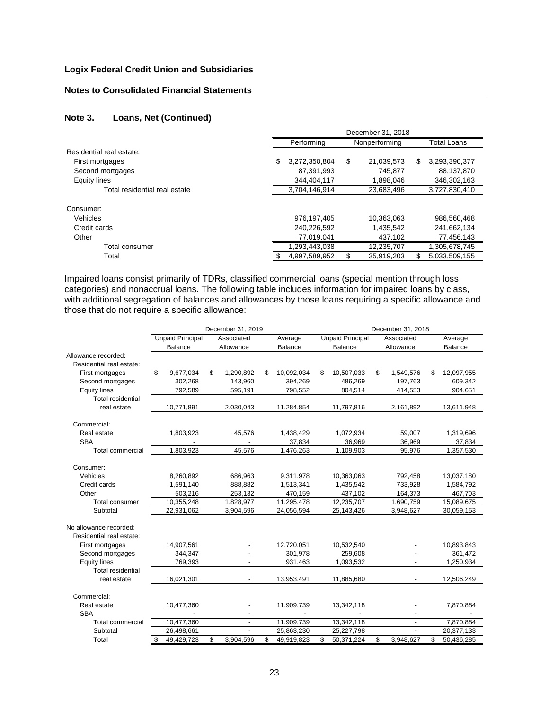#### **Notes to Consolidated Financial Statements**

# **Note 3. Loans, Net (Continued)**

|                               | December 31, 2018 |               |    |               |                    |               |  |  |  |
|-------------------------------|-------------------|---------------|----|---------------|--------------------|---------------|--|--|--|
|                               |                   | Performing    |    | Nonperforming | <b>Total Loans</b> |               |  |  |  |
| Residential real estate:      |                   |               |    |               |                    |               |  |  |  |
| First mortgages               | \$                | 3,272,350,804 | \$ | 21,039,573    | S.                 | 3,293,390,377 |  |  |  |
| Second mortgages              |                   | 87.391.993    |    | 745.877       |                    | 88.137.870    |  |  |  |
| Equity lines                  |                   | 344.404.117   |    | 1,898,046     |                    | 346,302,163   |  |  |  |
| Total residential real estate |                   | 3,704,146,914 |    | 23,683,496    |                    | 3,727,830,410 |  |  |  |
| Consumer:                     |                   |               |    |               |                    |               |  |  |  |
| Vehicles                      |                   | 976, 197, 405 |    | 10,363,063    |                    | 986,560,468   |  |  |  |
| Credit cards                  |                   | 240,226,592   |    | 1,435,542     |                    | 241,662,134   |  |  |  |
| Other                         |                   | 77,019,041    |    | 437.102       |                    | 77,456,143    |  |  |  |
| Total consumer                |                   | 1.293.443.038 |    | 12,235,707    |                    | 1,305,678,745 |  |  |  |
| Total                         |                   | 4,997,589,952 |    | 35,919,203    |                    | 5,033,509,155 |  |  |  |

Impaired loans consist primarily of TDRs, classified commercial loans (special mention through loss categories) and nonaccrual loans. The following table includes information for impaired loans by class, with additional segregation of balances and allowances by those loans requiring a specific allowance and those that do not require a specific allowance:

|                                                 |                         | December 31, 2019        |                          |                         | December 31, 2018        |                  |
|-------------------------------------------------|-------------------------|--------------------------|--------------------------|-------------------------|--------------------------|------------------|
|                                                 | <b>Unpaid Principal</b> | Associated               | Average                  | <b>Unpaid Principal</b> | Associated               | Average          |
|                                                 | Balance                 | Allowance                | <b>Balance</b>           | Balance                 | Allowance                | Balance          |
| Allowance recorded:<br>Residential real estate: |                         |                          |                          |                         |                          |                  |
| First mortgages                                 | \$<br>9,677,034         | \$<br>1,290,892          | \$<br>10,092,034         | \$<br>10,507,033        | \$<br>1,549,576          | \$<br>12,097,955 |
| Second mortgages                                | 302,268                 | 143,960                  | 394,269                  | 486,269                 | 197,763                  | 609,342          |
| <b>Equity lines</b>                             | 792,589                 | 595,191                  | 798,552                  | 804,514                 | 414,553                  | 904,651          |
| <b>Total residential</b>                        |                         |                          |                          |                         |                          |                  |
| real estate                                     | 10,771,891              | 2,030,043                | 11,284,854               | 11,797,816              | 2,161,892                | 13,611,948       |
| Commercial:                                     |                         |                          |                          |                         |                          |                  |
| Real estate                                     | 1,803,923               | 45,576                   | 1,438,429                | 1,072,934               | 59,007                   | 1,319,696        |
| <b>SBA</b>                                      |                         |                          | 37,834                   | 36,969                  | 36,969                   | 37,834           |
| <b>Total commercial</b>                         | 1,803,923               | 45,576                   | 1,476,263                | 1,109,903               | 95,976                   | 1,357,530        |
|                                                 |                         |                          |                          |                         |                          |                  |
| Consumer:                                       |                         |                          |                          |                         |                          |                  |
| Vehicles                                        | 8,260,892               | 686,963                  | 9,311,978                | 10,363,063              | 792,458                  | 13,037,180       |
| Credit cards                                    | 1,591,140               | 888,882                  | 1,513,341                | 1,435,542               | 733,928                  | 1,584,792        |
| Other                                           | 503,216                 | 253,132                  | 470,159                  | 437,102                 | 164,373                  | 467,703          |
| <b>Total consumer</b>                           | 10,355,248              | 1,828,977                | 11,295,478               | 12,235,707              | 1,690,759                | 15,089,675       |
| Subtotal                                        | 22,931,062              | 3,904,596                | 24,056,594               | 25,143,426              | 3,948,627                | 30,059,153       |
| No allowance recorded:                          |                         |                          |                          |                         |                          |                  |
| Residential real estate:                        |                         |                          |                          |                         |                          |                  |
| First mortgages                                 | 14,907,561              |                          | 12,720,051               | 10,532,540              |                          | 10,893,843       |
| Second mortgages                                | 344,347                 |                          | 301,978                  | 259,608                 |                          | 361,472          |
| <b>Equity lines</b>                             | 769,393                 |                          | 931,463                  | 1,093,532               |                          | 1,250,934        |
| <b>Total residential</b><br>real estate         | 16,021,301              |                          | 13,953,491               | 11,885,680              |                          | 12,506,249       |
|                                                 |                         |                          |                          |                         |                          |                  |
| Commercial:                                     |                         |                          |                          |                         |                          |                  |
| Real estate                                     | 10,477,360              |                          | 11,909,739               | 13,342,118              |                          | 7,870,884        |
| <b>SBA</b>                                      |                         | $\overline{\phantom{0}}$ | $\overline{\phantom{a}}$ |                         |                          |                  |
| Total commercial                                | 10,477,360              | $\overline{\phantom{a}}$ | 11,909,739               | 13,342,118              | $\overline{\phantom{a}}$ | 7,870,884        |
| Subtotal                                        | 26,498,661              | $\overline{a}$           | 25.863.230               | 25.227.798              | $\overline{a}$           | 20,377,133       |
| Total                                           | \$<br>49,429,723        | \$<br>3,904,596          | \$<br>49,919,823         | \$<br>50,371,224        | \$<br>3,948,627          | \$<br>50,436,285 |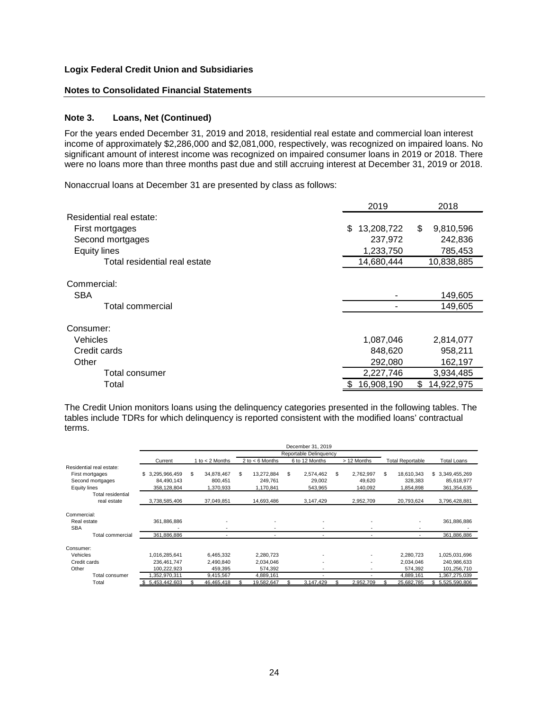#### **Notes to Consolidated Financial Statements**

#### **Note 3. Loans, Net (Continued)**

For the years ended December 31, 2019 and 2018, residential real estate and commercial loan interest income of approximately \$2,286,000 and \$2,081,000, respectively, was recognized on impaired loans. No significant amount of interest income was recognized on impaired consumer loans in 2019 or 2018. There were no loans more than three months past due and still accruing interest at December 31, 2019 or 2018.

Nonaccrual loans at December 31 are presented by class as follows:

|                               | 2019             | 2018             |
|-------------------------------|------------------|------------------|
| Residential real estate:      |                  |                  |
| First mortgages               | \$<br>13,208,722 | 9,810,596<br>\$  |
| Second mortgages              | 237,972          | 242,836          |
| <b>Equity lines</b>           | 1,233,750        | 785,453          |
| Total residential real estate | 14,680,444       | 10,838,885       |
|                               |                  |                  |
| Commercial:                   |                  |                  |
| <b>SBA</b>                    |                  | 149,605          |
| Total commercial              |                  | 149,605          |
| Consumer:                     |                  |                  |
| <b>Vehicles</b>               | 1,087,046        | 2,814,077        |
| Credit cards                  | 848,620          | 958,211          |
| Other                         | 292,080          | 162,197          |
| Total consumer                | 2,227,746        | 3,934,485        |
| Total                         | 16,908,190<br>S  | 14,922,975<br>\$ |

The Credit Union monitors loans using the delinquency categories presented in the following tables. The tables include TDRs for which delinquency is reported consistent with the modified loans' contractual terms.

|                          |                     |                   |     |                   |     | December 31, 2019        |     |                          |     |                          |                    |
|--------------------------|---------------------|-------------------|-----|-------------------|-----|--------------------------|-----|--------------------------|-----|--------------------------|--------------------|
|                          |                     |                   |     |                   |     | Reportable Delinquency   |     |                          |     |                          |                    |
|                          | Current             | 1 to $<$ 2 Months |     | 2 to $< 6$ Months |     | 6 to 12 Months           |     | > 12 Months              |     | <b>Total Reportable</b>  | <b>Total Loans</b> |
| Residential real estate: |                     |                   |     |                   |     |                          |     |                          |     |                          |                    |
| First mortgages          | 3,295,966,459<br>S. | \$<br>34,878,467  | \$. | 13,272,884        | \$. | 2,574,462                | \$  | 2,762,997                | \$. | 18,610,343               | \$ 3,349,455,269   |
| Second mortgages         | 84,490,143          | 800.451           |     | 249,761           |     | 29,002                   |     | 49,620                   |     | 328.383                  | 85,618,977         |
| Equity lines             | 358,128,804         | 1,370,933         |     | 1,170,841         |     | 543,965                  |     | 140,092                  |     | 1,854,898                | 361,354,635        |
| Total residential        |                     |                   |     |                   |     |                          |     |                          |     |                          |                    |
| real estate              | 3,738,585,406       | 37.049.851        |     | 14,693,486        |     | 3,147,429                |     | 2,952,709                |     | 20.793.624               | 3,796,428,881      |
| Commercial:              |                     |                   |     |                   |     |                          |     |                          |     |                          |                    |
| Real estate              | 361,886,886         |                   |     |                   |     |                          |     |                          |     |                          | 361,886,886        |
| <b>SBA</b>               |                     | ٠                 |     | ٠                 |     |                          |     | $\overline{\phantom{a}}$ |     | $\overline{\phantom{a}}$ |                    |
| Total commercial         | 361,886,886         |                   |     |                   |     |                          |     |                          |     |                          | 361,886,886        |
| Consumer:                |                     |                   |     |                   |     |                          |     |                          |     |                          |                    |
| Vehicles                 | 1.016.285.641       | 6.465.332         |     | 2.280.723         |     |                          |     |                          |     | 2.280.723                | 1,025,031,696      |
| Credit cards             | 236.461.747         | 2.490.840         |     | 2,034,046         |     | $\overline{\phantom{a}}$ |     |                          |     | 2,034,046                | 240,986,633        |
| Other                    | 100,222,923         | 459,395           |     | 574,392           |     |                          |     | $\overline{\phantom{a}}$ |     | 574,392                  | 101,256,710        |
| Total consumer           | .352,970,311        | 9,415,567         |     | 4,889,161         |     |                          |     |                          |     | 4,889,161                | 367,275,039        |
| Total                    | 5.453.442.603       | 46,465,418        |     | 19,582,647        |     | 3.147.429                | \$. | 2,952,709                |     | 25.682.785               | 5,525,590,806      |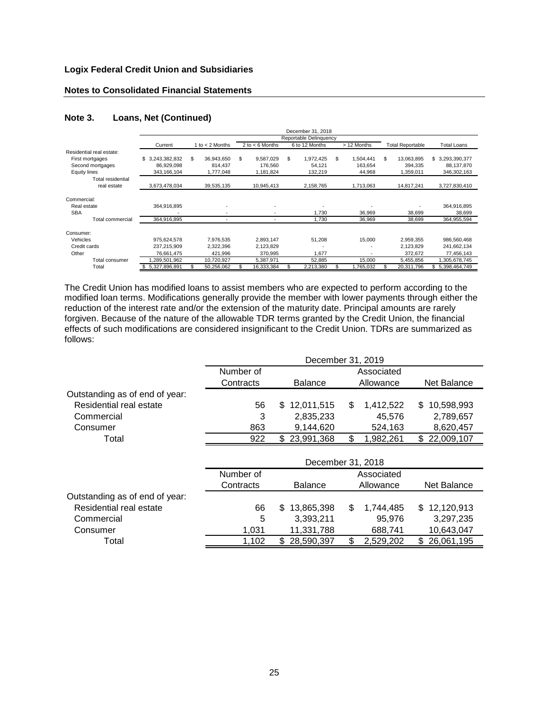#### **Notes to Consolidated Financial Statements**

|                          |                     |                          |     |                   |     | December 31, 2018      |     |             |     |                         |                    |
|--------------------------|---------------------|--------------------------|-----|-------------------|-----|------------------------|-----|-------------|-----|-------------------------|--------------------|
|                          |                     |                          |     |                   |     | Reportable Delinquency |     |             |     |                         |                    |
|                          | Current             | to < 2 Months            |     | 2 to $< 6$ Months |     | 6 to 12 Months         |     | > 12 Months |     | <b>Total Reportable</b> | <b>Total Loans</b> |
| Residential real estate: |                     |                          |     |                   |     |                        |     |             |     |                         |                    |
| First mortgages          | 3,243,382,832<br>S. | \$<br>36,943,650         | \$. | 9,587,029         | \$. | 1,972,425              | \$  | 1,504,441   | \$. | 13,063,895              | \$ 3,293,390,377   |
| Second mortgages         | 86,929,098          | 814,437                  |     | 176,560           |     | 54,121                 |     | 163,654     |     | 394,335                 | 88,137,870         |
| Equity lines             | 343,166,104         | 1,777,048                |     | 1,181,824         |     | 132,219                |     | 44,968      |     | 1,359,011               | 346,302,163        |
| Total residential        |                     |                          |     |                   |     |                        |     |             |     |                         |                    |
| real estate              | 3,673,478,034       | 39,535,135               |     | 10,945,413        |     | 2,158,765              |     | 1,713,063   |     | 14,817,241              | 3,727,830,410      |
| Commercial:              |                     |                          |     |                   |     |                        |     |             |     |                         |                    |
| Real estate              | 364,916,895         | $\overline{\phantom{a}}$ |     |                   |     |                        |     |             |     |                         | 364,916,895        |
| <b>SBA</b>               |                     | $\overline{\phantom{a}}$ |     |                   |     | 1,730                  |     | 36,969      |     | 38,699                  | 38,699             |
| Total commercial         | 364,916,895         |                          |     |                   |     | 1,730                  |     | 36,969      |     | 38,699                  | 364,955,594        |
| Consumer:                |                     |                          |     |                   |     |                        |     |             |     |                         |                    |
| Vehicles                 | 975,624,578         | 7,976,535                |     | 2,893,147         |     | 51,208                 |     | 15,000      |     | 2,959,355               | 986,560,468        |
| Credit cards             | 237.215.909         | 2.322.396                |     | 2,123,829         |     |                        |     |             |     | 2,123,829               | 241,662,134        |
| Other                    | 76.661.475          | 421.996                  |     | 370,995           |     | 1,677                  |     | ٠           |     | 372,672                 | 77,456,143         |
| Total consumer           | .289,501,962        | 10,720,927               |     | 5,387,971         |     | 52,885                 |     | 15,000      |     | 5,455,856               | 1,305,678,745      |
| Total                    | \$5.327.896.891     | 50.256.062               |     | 16.333.384        | \$. | 2.213.380              | \$. | ,765,032    | \$  | 20.311.796              | \$5.398.464.749    |

# **Note 3. Loans, Net (Continued)**

The Credit Union has modified loans to assist members who are expected to perform according to the modified loan terms. Modifications generally provide the member with lower payments through either the reduction of the interest rate and/or the extension of the maturity date. Principal amounts are rarely forgiven. Because of the nature of the allowable TDR terms granted by the Credit Union, the financial effects of such modifications are considered insignificant to the Credit Union. TDRs are summarized as follows:

|                                | December 31, 2019 |                   |                   |                  |  |  |  |  |  |
|--------------------------------|-------------------|-------------------|-------------------|------------------|--|--|--|--|--|
|                                | Number of         |                   | Associated        |                  |  |  |  |  |  |
|                                | Contracts         | <b>Balance</b>    | Allowance         | Net Balance      |  |  |  |  |  |
| Outstanding as of end of year: |                   |                   |                   |                  |  |  |  |  |  |
| Residential real estate        | 56                | \$<br>12,011,515  | \$<br>1,412,522   | \$<br>10,598,993 |  |  |  |  |  |
| Commercial                     | 3                 | 2,835,233         | 45,576            | 2,789,657        |  |  |  |  |  |
| Consumer                       | 863               | 9,144,620         | 524,163           | 8,620,457        |  |  |  |  |  |
| Total                          | 922               | \$23,991,368      | \$<br>1,982,261   | \$<br>22,009,107 |  |  |  |  |  |
|                                |                   |                   |                   |                  |  |  |  |  |  |
|                                |                   |                   | December 31, 2018 |                  |  |  |  |  |  |
|                                | Number of         |                   | Associated        |                  |  |  |  |  |  |
|                                | Contracts         | <b>Balance</b>    | Allowance         | Net Balance      |  |  |  |  |  |
| Outstanding as of end of year: |                   |                   |                   |                  |  |  |  |  |  |
| Residential real estate        | 66                | 13,865,398<br>\$. | \$.<br>1,744,485  | \$12,120,913     |  |  |  |  |  |
| Commercial                     | 5                 | 3,393,211         | 95,976            | 3,297,235        |  |  |  |  |  |
| Consumer                       | 1,031             | 11,331,788        | 688,741           | 10,643,047       |  |  |  |  |  |
| Total                          | 1,102             | 28,590,397<br>\$. | S<br>2,529,202    | 26,061,195<br>S  |  |  |  |  |  |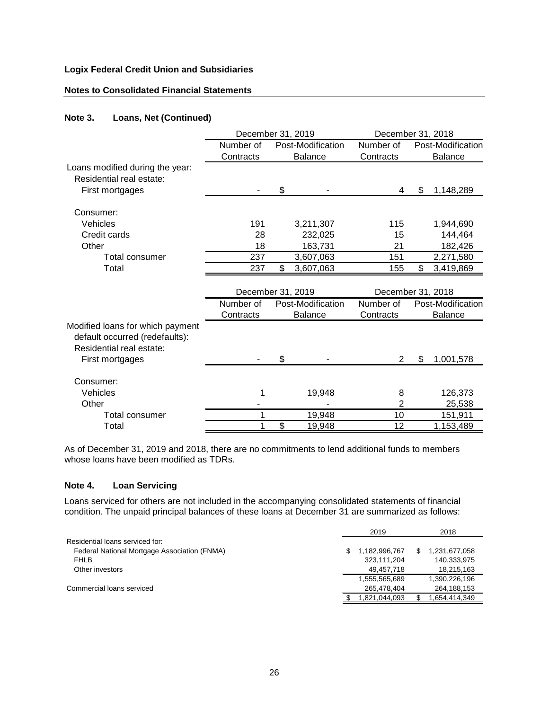#### **Notes to Consolidated Financial Statements**

# **Note 3. Loans, Net (Continued)**

|                                                                                                | December 31, 2019 |    | December 31, 2018 |                   |    |                   |
|------------------------------------------------------------------------------------------------|-------------------|----|-------------------|-------------------|----|-------------------|
|                                                                                                | Number of         |    | Post-Modification | Number of         |    | Post-Modification |
|                                                                                                | Contracts         |    | <b>Balance</b>    | Contracts         |    | <b>Balance</b>    |
| Loans modified during the year:<br>Residential real estate:                                    |                   |    |                   |                   |    |                   |
| First mortgages                                                                                | -                 | \$ |                   | 4                 | \$ | 1,148,289         |
| Consumer:                                                                                      |                   |    |                   |                   |    |                   |
| Vehicles                                                                                       | 191               |    | 3,211,307         | 115               |    | 1,944,690         |
| Credit cards                                                                                   | 28                |    | 232,025           | 15                |    | 144,464           |
| Other                                                                                          | 18                |    | 163,731           | 21                |    | 182,426           |
| Total consumer                                                                                 | 237               |    | 3,607,063         | 151               |    | 2,271,580         |
| Total                                                                                          | 237               | \$ | 3,607,063         | 155               | \$ | 3,419,869         |
|                                                                                                | December 31, 2019 |    |                   | December 31, 2018 |    |                   |
|                                                                                                | Number of         |    | Post-Modification | Number of         |    | Post-Modification |
|                                                                                                | Contracts         |    | <b>Balance</b>    | Contracts         |    | <b>Balance</b>    |
| Modified loans for which payment<br>default occurred (redefaults):<br>Residential real estate: |                   |    |                   |                   |    |                   |
| First mortgages                                                                                |                   | \$ |                   | 2                 | \$ | 1,001,578         |
| Consumer:                                                                                      |                   |    |                   |                   |    |                   |
| Vehicles                                                                                       | 1                 |    | 19,948            | 8                 |    | 126,373           |
| Other                                                                                          |                   |    |                   | $\overline{2}$    |    | 25,538            |
| Total consumer                                                                                 | 1                 |    | 19,948            | 10                |    | 151,911           |
| Total                                                                                          | 1                 | \$ | 19,948            | 12                |    | 1,153,489         |

As of December 31, 2019 and 2018, there are no commitments to lend additional funds to members whose loans have been modified as TDRs.

# **Note 4. Loan Servicing**

Loans serviced for others are not included in the accompanying consolidated statements of financial condition. The unpaid principal balances of these loans at December 31 are summarized as follows:

|                                              | 2019               | 2018          |
|----------------------------------------------|--------------------|---------------|
| Residential loans serviced for:              |                    |               |
| Federal National Mortgage Association (FNMA) | 1,182,996,767<br>S | 1,231,677,058 |
| <b>FHLB</b>                                  | 323.111.204        | 140,333,975   |
| Other investors                              | 49.457.718         | 18,215,163    |
|                                              | 1.555.565.689      | 1,390,226,196 |
| Commercial loans serviced                    | 265,478,404        | 264,188,153   |
|                                              | 1,821,044,093      | 1,654,414,349 |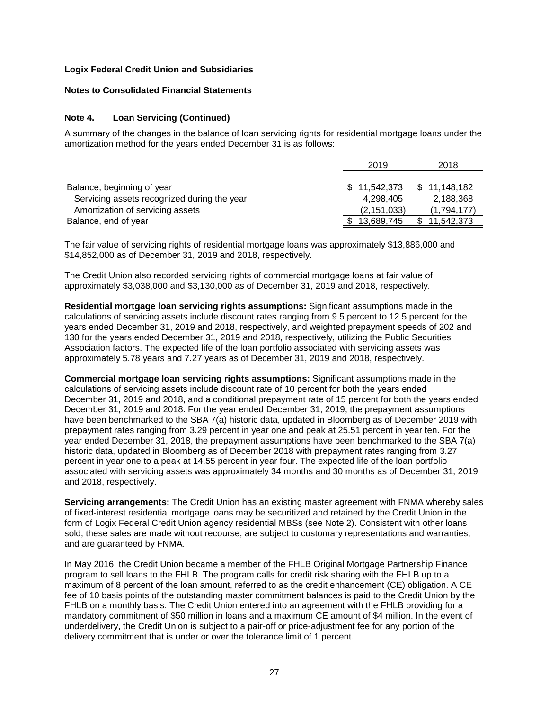#### **Notes to Consolidated Financial Statements**

# **Note 4. Loan Servicing (Continued)**

A summary of the changes in the balance of loan servicing rights for residential mortgage loans under the amortization method for the years ended December 31 is as follows:

|                                             | 2019          | 2018         |
|---------------------------------------------|---------------|--------------|
| Balance, beginning of year                  | \$11,542,373  | \$11,148,182 |
| Servicing assets recognized during the year | 4,298,405     | 2,188,368    |
| Amortization of servicing assets            | (2, 151, 033) | (1,794,177)  |
| Balance, end of year                        | 13,689,745    | 11,542,373   |

The fair value of servicing rights of residential mortgage loans was approximately \$13,886,000 and \$14,852,000 as of December 31, 2019 and 2018, respectively.

The Credit Union also recorded servicing rights of commercial mortgage loans at fair value of approximately \$3,038,000 and \$3,130,000 as of December 31, 2019 and 2018, respectively.

**Residential mortgage loan servicing rights assumptions:** Significant assumptions made in the calculations of servicing assets include discount rates ranging from 9.5 percent to 12.5 percent for the years ended December 31, 2019 and 2018, respectively, and weighted prepayment speeds of 202 and 130 for the years ended December 31, 2019 and 2018, respectively, utilizing the Public Securities Association factors. The expected life of the loan portfolio associated with servicing assets was approximately 5.78 years and 7.27 years as of December 31, 2019 and 2018, respectively.

**Commercial mortgage loan servicing rights assumptions:** Significant assumptions made in the calculations of servicing assets include discount rate of 10 percent for both the years ended December 31, 2019 and 2018, and a conditional prepayment rate of 15 percent for both the years ended December 31, 2019 and 2018. For the year ended December 31, 2019, the prepayment assumptions have been benchmarked to the SBA 7(a) historic data, updated in Bloomberg as of December 2019 with prepayment rates ranging from 3.29 percent in year one and peak at 25.51 percent in year ten. For the year ended December 31, 2018, the prepayment assumptions have been benchmarked to the SBA 7(a) historic data, updated in Bloomberg as of December 2018 with prepayment rates ranging from 3.27 percent in year one to a peak at 14.55 percent in year four. The expected life of the loan portfolio associated with servicing assets was approximately 34 months and 30 months as of December 31, 2019 and 2018, respectively.

**Servicing arrangements:** The Credit Union has an existing master agreement with FNMA whereby sales of fixed-interest residential mortgage loans may be securitized and retained by the Credit Union in the form of Logix Federal Credit Union agency residential MBSs (see Note 2). Consistent with other loans sold, these sales are made without recourse, are subject to customary representations and warranties, and are guaranteed by FNMA.

In May 2016, the Credit Union became a member of the FHLB Original Mortgage Partnership Finance program to sell loans to the FHLB. The program calls for credit risk sharing with the FHLB up to a maximum of 8 percent of the loan amount, referred to as the credit enhancement (CE) obligation. A CE fee of 10 basis points of the outstanding master commitment balances is paid to the Credit Union by the FHLB on a monthly basis. The Credit Union entered into an agreement with the FHLB providing for a mandatory commitment of \$50 million in loans and a maximum CE amount of \$4 million. In the event of underdelivery, the Credit Union is subject to a pair-off or price-adjustment fee for any portion of the delivery commitment that is under or over the tolerance limit of 1 percent.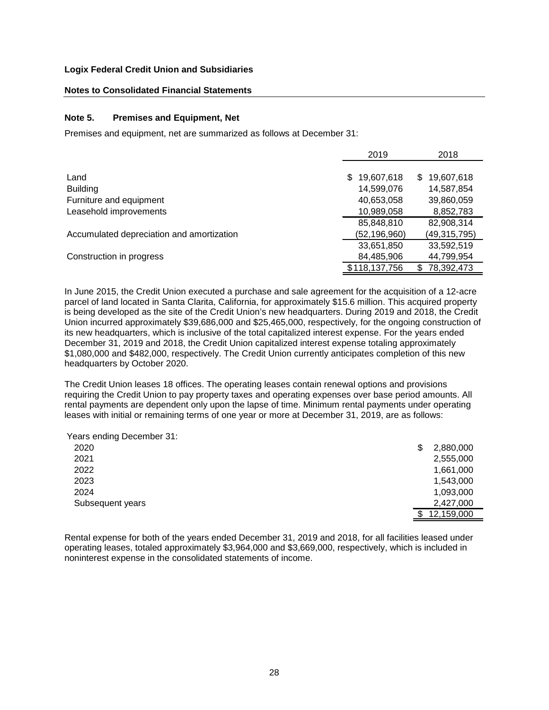#### **Notes to Consolidated Financial Statements**

# **Note 5. Premises and Equipment, Net**

Premises and equipment, net are summarized as follows at December 31:

|                                           | 2019            | 2018              |
|-------------------------------------------|-----------------|-------------------|
|                                           |                 |                   |
| Land                                      | 19,607,618<br>S | 19,607,618<br>\$. |
| <b>Building</b>                           | 14,599,076      | 14,587,854        |
| Furniture and equipment                   | 40,653,058      | 39,860,059        |
| Leasehold improvements                    | 10,989,058      | 8,852,783         |
|                                           | 85,848,810      | 82,908,314        |
| Accumulated depreciation and amortization | (52, 196, 960)  | (49,315,795)      |
|                                           | 33,651,850      | 33,592,519        |
| Construction in progress                  | 84,485,906      | 44,799,954        |
|                                           | \$118,137,756   | 78,392,473<br>S.  |

In June 2015, the Credit Union executed a purchase and sale agreement for the acquisition of a 12-acre parcel of land located in Santa Clarita, California, for approximately \$15.6 million. This acquired property is being developed as the site of the Credit Union's new headquarters. During 2019 and 2018, the Credit Union incurred approximately \$39,686,000 and \$25,465,000, respectively, for the ongoing construction of its new headquarters, which is inclusive of the total capitalized interest expense. For the years ended December 31, 2019 and 2018, the Credit Union capitalized interest expense totaling approximately \$1,080,000 and \$482,000, respectively. The Credit Union currently anticipates completion of this new headquarters by October 2020.

The Credit Union leases 18 offices. The operating leases contain renewal options and provisions requiring the Credit Union to pay property taxes and operating expenses over base period amounts. All rental payments are dependent only upon the lapse of time. Minimum rental payments under operating leases with initial or remaining terms of one year or more at December 31, 2019, are as follows:

Years ending December 31:

| 2020             | \$<br>2,880,000 |  |
|------------------|-----------------|--|
| 2021             | 2,555,000       |  |
| 2022             | 1,661,000       |  |
| 2023             | 1,543,000       |  |
| 2024             | 1,093,000       |  |
| Subsequent years | 2,427,000       |  |
|                  | 12,159,000      |  |

Rental expense for both of the years ended December 31, 2019 and 2018, for all facilities leased under operating leases, totaled approximately \$3,964,000 and \$3,669,000, respectively, which is included in noninterest expense in the consolidated statements of income.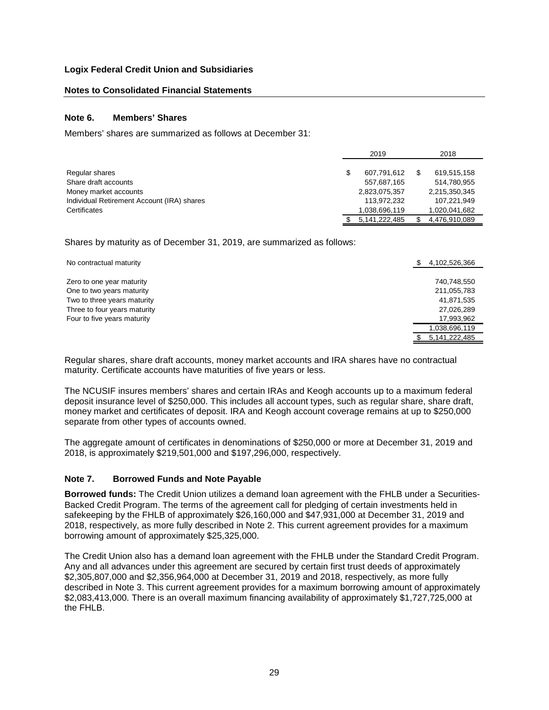#### **Notes to Consolidated Financial Statements**

# **Note 6. Members' Shares**

Members' shares are summarized as follows at December 31:

|                                            | 2019              | 2018          |
|--------------------------------------------|-------------------|---------------|
|                                            |                   |               |
| Regular shares                             | \$<br>607.791.612 | 619,515,158   |
| Share draft accounts                       | 557,687,165       | 514,780,955   |
| Money market accounts                      | 2,823,075,357     | 2,215,350,345 |
| Individual Retirement Account (IRA) shares | 113.972.232       | 107.221.949   |
| Certificates                               | 1,038,696,119     | 1,020,041,682 |
|                                            | 5.141.222.485     | 4,476,910,089 |

Shares by maturity as of December 31, 2019, are summarized as follows:

| No contractual maturity      | 4,102,526,366 |
|------------------------------|---------------|
|                              |               |
| Zero to one year maturity    | 740,748,550   |
| One to two years maturity    | 211,055,783   |
| Two to three years maturity  | 41,871,535    |
| Three to four years maturity | 27,026,289    |
| Four to five years maturity  | 17,993,962    |
|                              | 1,038,696,119 |
|                              | 5,141,222,485 |

Regular shares, share draft accounts, money market accounts and IRA shares have no contractual maturity. Certificate accounts have maturities of five years or less.

The NCUSIF insures members' shares and certain IRAs and Keogh accounts up to a maximum federal deposit insurance level of \$250,000. This includes all account types, such as regular share, share draft, money market and certificates of deposit. IRA and Keogh account coverage remains at up to \$250,000 separate from other types of accounts owned.

The aggregate amount of certificates in denominations of \$250,000 or more at December 31, 2019 and 2018, is approximately \$219,501,000 and \$197,296,000, respectively.

#### **Note 7. Borrowed Funds and Note Payable**

**Borrowed funds:** The Credit Union utilizes a demand loan agreement with the FHLB under a Securities-Backed Credit Program. The terms of the agreement call for pledging of certain investments held in safekeeping by the FHLB of approximately \$26,160,000 and \$47,931,000 at December 31, 2019 and 2018, respectively, as more fully described in Note 2. This current agreement provides for a maximum borrowing amount of approximately \$25,325,000.

The Credit Union also has a demand loan agreement with the FHLB under the Standard Credit Program. Any and all advances under this agreement are secured by certain first trust deeds of approximately \$2,305,807,000 and \$2,356,964,000 at December 31, 2019 and 2018, respectively, as more fully described in Note 3. This current agreement provides for a maximum borrowing amount of approximately \$2,083,413,000. There is an overall maximum financing availability of approximately \$1,727,725,000 at the FHLB.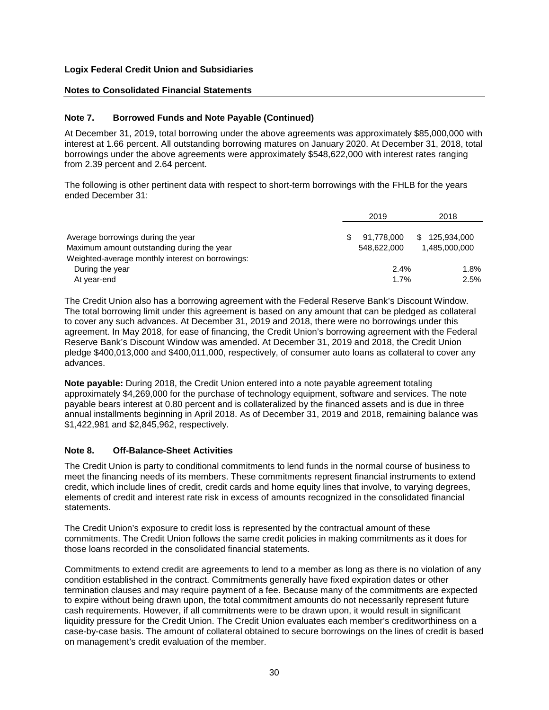## **Notes to Consolidated Financial Statements**

## **Note 7. Borrowed Funds and Note Payable (Continued)**

At December 31, 2019, total borrowing under the above agreements was approximately \$85,000,000 with interest at 1.66 percent. All outstanding borrowing matures on January 2020. At December 31, 2018, total borrowings under the above agreements were approximately \$548,622,000 with interest rates ranging from 2.39 percent and 2.64 percent.

The following is other pertinent data with respect to short-term borrowings with the FHLB for the years ended December 31:

|                                                  | 2019        | 2018              |
|--------------------------------------------------|-------------|-------------------|
| Average borrowings during the year               | 91,778,000  | 125.934.000<br>S. |
| Maximum amount outstanding during the year       | 548,622,000 | 1,485,000,000     |
| Weighted-average monthly interest on borrowings: |             |                   |
| During the year                                  | 2.4%        | 1.8%              |
| At year-end                                      | 1.7%        | 2.5%              |

The Credit Union also has a borrowing agreement with the Federal Reserve Bank's Discount Window. The total borrowing limit under this agreement is based on any amount that can be pledged as collateral to cover any such advances. At December 31, 2019 and 2018, there were no borrowings under this agreement. In May 2018, for ease of financing, the Credit Union's borrowing agreement with the Federal Reserve Bank's Discount Window was amended. At December 31, 2019 and 2018, the Credit Union pledge \$400,013,000 and \$400,011,000, respectively, of consumer auto loans as collateral to cover any advances.

**Note payable:** During 2018, the Credit Union entered into a note payable agreement totaling approximately \$4,269,000 for the purchase of technology equipment, software and services. The note payable bears interest at 0.80 percent and is collateralized by the financed assets and is due in three annual installments beginning in April 2018. As of December 31, 2019 and 2018, remaining balance was \$1,422,981 and \$2,845,962, respectively.

#### **Note 8. Off-Balance-Sheet Activities**

The Credit Union is party to conditional commitments to lend funds in the normal course of business to meet the financing needs of its members. These commitments represent financial instruments to extend credit, which include lines of credit, credit cards and home equity lines that involve, to varying degrees, elements of credit and interest rate risk in excess of amounts recognized in the consolidated financial statements.

The Credit Union's exposure to credit loss is represented by the contractual amount of these commitments. The Credit Union follows the same credit policies in making commitments as it does for those loans recorded in the consolidated financial statements.

Commitments to extend credit are agreements to lend to a member as long as there is no violation of any condition established in the contract. Commitments generally have fixed expiration dates or other termination clauses and may require payment of a fee. Because many of the commitments are expected to expire without being drawn upon, the total commitment amounts do not necessarily represent future cash requirements. However, if all commitments were to be drawn upon, it would result in significant liquidity pressure for the Credit Union. The Credit Union evaluates each member's creditworthiness on a case-by-case basis. The amount of collateral obtained to secure borrowings on the lines of credit is based on management's credit evaluation of the member.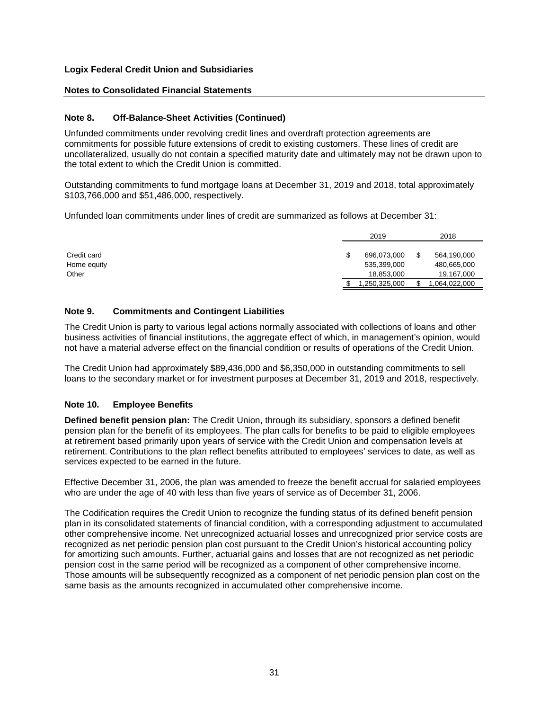## **Notes to Consolidated Financial Statements**

# **Note 8. Off-Balance-Sheet Activities (Continued)**

Unfunded commitments under revolving credit lines and overdraft protection agreements are commitments for possible future extensions of credit to existing customers. These lines of credit are uncollateralized, usually do not contain a specified maturity date and ultimately may not be drawn upon to the total extent to which the Credit Union is committed.

Outstanding commitments to fund mortgage loans at December 31, 2019 and 2018, total approximately \$103,766,000 and \$51,486,000, respectively.

Unfunded loan commitments under lines of credit are summarized as follows at December 31:

|             |   | 2019         | 2018         |
|-------------|---|--------------|--------------|
|             |   |              |              |
| Credit card | S | 696,073,000  | 564,190,000  |
| Home equity |   | 535,399,000  | 480,665,000  |
| Other       |   | 18,853,000   | 19,167,000   |
|             |   | ,250,325,000 | .064,022,000 |

# **Note 9. Commitments and Contingent Liabilities**

The Credit Union is party to various legal actions normally associated with collections of loans and other business activities of financial institutions, the aggregate effect of which, in management's opinion, would not have a material adverse effect on the financial condition or results of operations of the Credit Union.

The Credit Union had approximately \$89,436,000 and \$6,350,000 in outstanding commitments to sell loans to the secondary market or for investment purposes at December 31, 2019 and 2018, respectively.

#### **Note 10. Employee Benefits**

**Defined benefit pension plan:** The Credit Union, through its subsidiary, sponsors a defined benefit pension plan for the benefit of its employees. The plan calls for benefits to be paid to eligible employees at retirement based primarily upon years of service with the Credit Union and compensation levels at retirement. Contributions to the plan reflect benefits attributed to employees' services to date, as well as services expected to be earned in the future.

Effective December 31, 2006, the plan was amended to freeze the benefit accrual for salaried employees who are under the age of 40 with less than five years of service as of December 31, 2006.

The Codification requires the Credit Union to recognize the funding status of its defined benefit pension plan in its consolidated statements of financial condition, with a corresponding adjustment to accumulated other comprehensive income. Net unrecognized actuarial losses and unrecognized prior service costs are recognized as net periodic pension plan cost pursuant to the Credit Union's historical accounting policy for amortizing such amounts. Further, actuarial gains and losses that are not recognized as net periodic pension cost in the same period will be recognized as a component of other comprehensive income. Those amounts will be subsequently recognized as a component of net periodic pension plan cost on the same basis as the amounts recognized in accumulated other comprehensive income.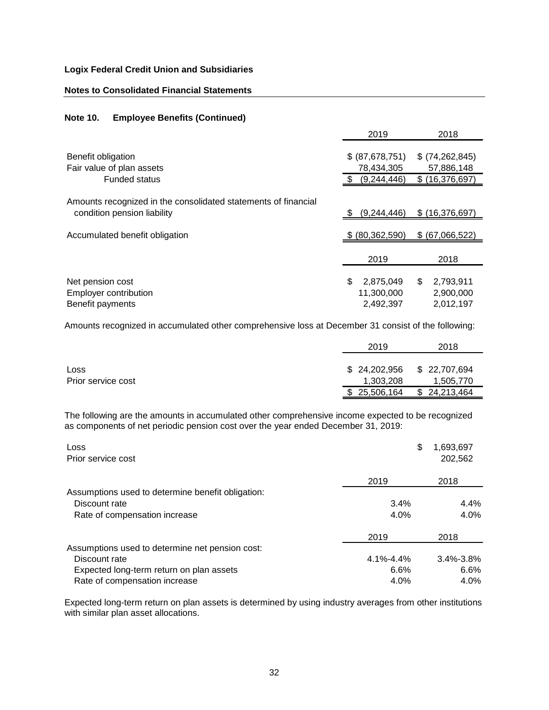#### **Notes to Consolidated Financial Statements**

# **Note 10. Employee Benefits (Continued)**

|                                                                                               | 2019                                         | 2018                                                 |
|-----------------------------------------------------------------------------------------------|----------------------------------------------|------------------------------------------------------|
| Benefit obligation<br>Fair value of plan assets<br><b>Funded status</b>                       | \$ (87,678,751)<br>78,434,305<br>(9,244,446) | \$ (74, 262, 845)<br>57,886,148<br>\$ (16, 376, 697) |
| Amounts recognized in the consolidated statements of financial<br>condition pension liability | (9,244,446)                                  | \$ (16,376,697)                                      |
| Accumulated benefit obligation                                                                | \$ (80, 362, 590)                            | \$ (67,066,522)                                      |
|                                                                                               | 2019                                         | 2018                                                 |
| Net pension cost<br><b>Employer contribution</b><br>Benefit payments                          | \$<br>2,875,049<br>11,300,000<br>2,492,397   | 2,793,911<br>S<br>2,900,000<br>2,012,197             |

Amounts recognized in accumulated other comprehensive loss at December 31 consist of the following:

|                            | 2019                      | 2018                       |
|----------------------------|---------------------------|----------------------------|
| Loss<br>Prior service cost | \$24,202,956<br>1,303,208 | \$ 22,707,694<br>1,505,770 |
|                            | 25,506,164                | \$24,213,464               |

The following are the amounts in accumulated other comprehensive income expected to be recognized as components of net periodic pension cost over the year ended December 31, 2019:

| Loss<br>Prior service cost                        | \$              | 1,693,697<br>202,562 |
|---------------------------------------------------|-----------------|----------------------|
|                                                   | 2019            | 2018                 |
| Assumptions used to determine benefit obligation: |                 |                      |
| Discount rate                                     | 3.4%            | $4.4\%$              |
| Rate of compensation increase                     | 4.0%            | 4.0%                 |
|                                                   | 2019            | 2018                 |
| Assumptions used to determine net pension cost:   |                 |                      |
| Discount rate                                     | $4.1\% - 4.4\%$ | $3.4\% - 3.8\%$      |
| Expected long-term return on plan assets          | 6.6%            | 6.6%                 |
| Rate of compensation increase                     | 4.0%            | 4.0%                 |

Expected long-term return on plan assets is determined by using industry averages from other institutions with similar plan asset allocations.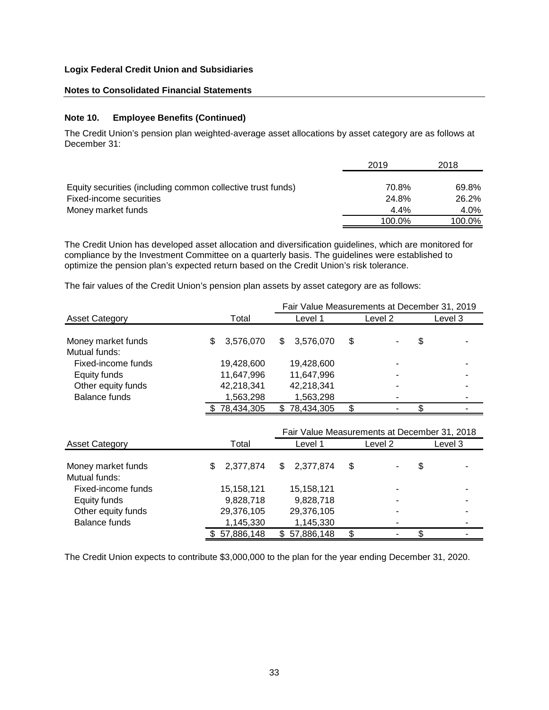## **Notes to Consolidated Financial Statements**

# **Note 10. Employee Benefits (Continued)**

The Credit Union's pension plan weighted-average asset allocations by asset category are as follows at December 31:

|                                                             | 2019   | 2018   |
|-------------------------------------------------------------|--------|--------|
| Equity securities (including common collective trust funds) | 70.8%  | 69.8%  |
| Fixed-income securities                                     | 24.8%  | 26.2%  |
| Money market funds                                          | 4.4%   | 4.0%   |
|                                                             | 100.0% | 100.0% |

The Credit Union has developed asset allocation and diversification guidelines, which are monitored for compliance by the Investment Committee on a quarterly basis. The guidelines were established to optimize the pension plan's expected return based on the Credit Union's risk tolerance.

The fair values of the Credit Union's pension plan assets by asset category are as follows:

|                       |                 |                  | Fair Value Measurements at December 31, 2019 |         |  |
|-----------------------|-----------------|------------------|----------------------------------------------|---------|--|
| <b>Asset Category</b> | Total           | Level 1          | Level 2                                      | Level 3 |  |
|                       |                 |                  |                                              |         |  |
| Money market funds    | 3,576,070<br>\$ | 3,576,070<br>\$. | S                                            | \$      |  |
| Mutual funds:         |                 |                  |                                              |         |  |
| Fixed-income funds    | 19,428,600      | 19,428,600       | -                                            |         |  |
| Equity funds          | 11,647,996      | 11,647,996       | ۰                                            |         |  |
| Other equity funds    | 42,218,341      | 42,218,341       | -                                            |         |  |
| Balance funds         | 1,563,298       | 1,563,298        | -                                            |         |  |
|                       | 78,434,305      | \$78,434,305     | c<br>۰                                       |         |  |

|                       |                |             | Fair Value Measurements at December 31, 2018 |         |  |  |
|-----------------------|----------------|-------------|----------------------------------------------|---------|--|--|
| <b>Asset Category</b> | Total          | Level 1     | Level 2                                      | Level 3 |  |  |
| Money market funds    | 2,377,874<br>S | \$2,377,874 | \$.                                          | S       |  |  |
| Mutual funds:         |                |             |                                              |         |  |  |
| Fixed-income funds    | 15,158,121     | 15,158,121  |                                              |         |  |  |
| Equity funds          | 9,828,718      | 9,828,718   |                                              |         |  |  |
| Other equity funds    | 29,376,105     | 29,376,105  |                                              |         |  |  |
| Balance funds         | 1,145,330      | 1,145,330   |                                              |         |  |  |
|                       | 57,886,148     | 57,886,148  |                                              |         |  |  |

The Credit Union expects to contribute \$3,000,000 to the plan for the year ending December 31, 2020.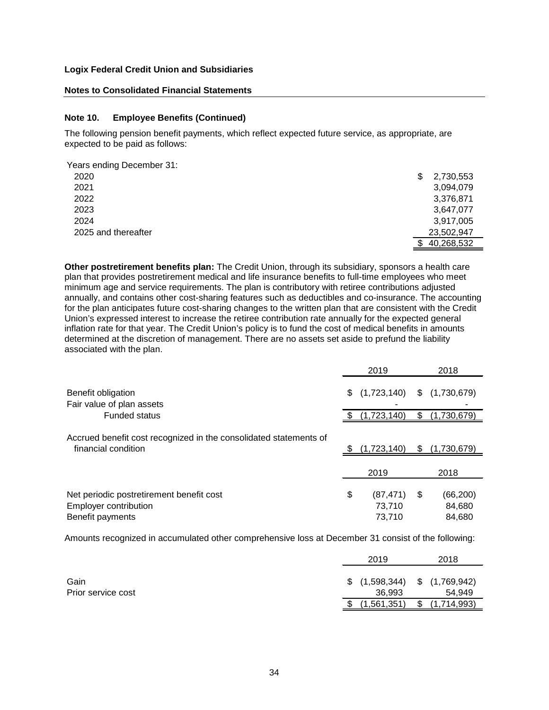#### **Notes to Consolidated Financial Statements**

# **Note 10. Employee Benefits (Continued)**

The following pension benefit payments, which reflect expected future service, as appropriate, are expected to be paid as follows:

Years ending December 31:

| 2020                | \$<br>2,730,553 |
|---------------------|-----------------|
| 2021                | 3,094,079       |
| 2022                | 3,376,871       |
| 2023                | 3,647,077       |
| 2024                | 3,917,005       |
| 2025 and thereafter | 23,502,947      |
|                     | 40,268,532      |

**Other postretirement benefits plan:** The Credit Union, through its subsidiary, sponsors a health care plan that provides postretirement medical and life insurance benefits to full-time employees who meet minimum age and service requirements. The plan is contributory with retiree contributions adjusted annually, and contains other cost-sharing features such as deductibles and co-insurance. The accounting for the plan anticipates future cost-sharing changes to the written plan that are consistent with the Credit Union's expressed interest to increase the retiree contribution rate annually for the expected general inflation rate for that year. The Credit Union's policy is to fund the cost of medical benefits in amounts determined at the discretion of management. There are no assets set aside to prefund the liability associated with the plan.

|                                                                                          | 2019                                |    | 2018                          |
|------------------------------------------------------------------------------------------|-------------------------------------|----|-------------------------------|
| Benefit obligation<br>Fair value of plan assets                                          | \$<br>(1,723,140)                   | \$ | (1,730,679)                   |
| <b>Funded status</b>                                                                     | (1,723,140)                         | S. | (1,730,679)                   |
| Accrued benefit cost recognized in the consolidated statements of<br>financial condition | (1,723,140)                         | S. | (1,730,679)                   |
|                                                                                          | 2019                                |    | 2018                          |
| Net periodic postretirement benefit cost<br>Employer contribution<br>Benefit payments    | \$<br>(87, 471)<br>73.710<br>73.710 | \$ | (66, 200)<br>84,680<br>84,680 |

Amounts recognized in accumulated other comprehensive loss at December 31 consist of the following:

|                            | 2019                                      | 2018        |
|----------------------------|-------------------------------------------|-------------|
| Gain<br>Prior service cost | $$$ (1,598,344) $$$ (1,769,942)<br>36.993 | 54.949      |
|                            | (1,561,351)                               | (1,714,993) |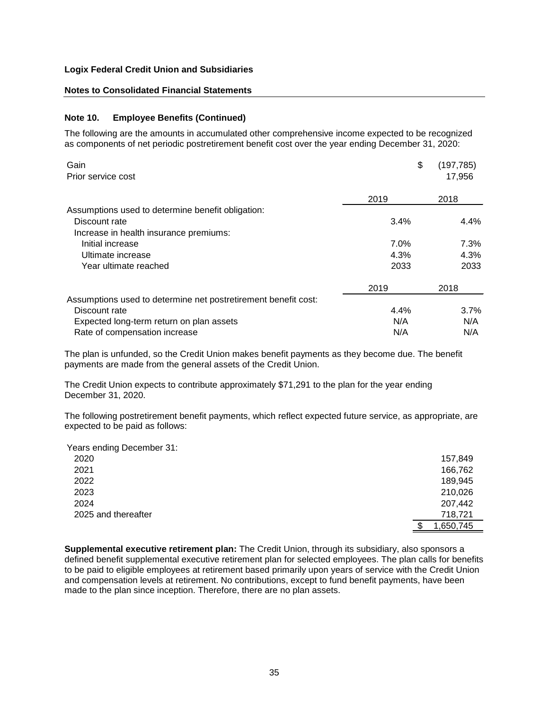#### **Notes to Consolidated Financial Statements**

#### **Note 10. Employee Benefits (Continued)**

The following are the amounts in accumulated other comprehensive income expected to be recognized as components of net periodic postretirement benefit cost over the year ending December 31, 2020:

| Gain<br>Prior service cost                                     | \$      | (197, 785)<br>17,956 |
|----------------------------------------------------------------|---------|----------------------|
|                                                                | 2019    | 2018                 |
| Assumptions used to determine benefit obligation:              |         |                      |
| Discount rate                                                  | 3.4%    | 4.4%                 |
| Increase in health insurance premiums:                         |         |                      |
| Initial increase                                               | $7.0\%$ | 7.3%                 |
| Ultimate increase                                              | 4.3%    | 4.3%                 |
| Year ultimate reached                                          | 2033    | 2033                 |
|                                                                | 2019    | 2018                 |
| Assumptions used to determine net postretirement benefit cost: |         |                      |
| Discount rate                                                  | 4.4%    | 3.7%                 |
| Expected long-term return on plan assets                       | N/A     | N/A                  |
| Rate of compensation increase                                  | N/A     | N/A                  |

The plan is unfunded, so the Credit Union makes benefit payments as they become due. The benefit payments are made from the general assets of the Credit Union.

The Credit Union expects to contribute approximately \$71,291 to the plan for the year ending December 31, 2020.

The following postretirement benefit payments, which reflect expected future service, as appropriate, are expected to be paid as follows:

Years ending December 31:

| 2020                | 157,849   |
|---------------------|-----------|
| 2021                | 166,762   |
| 2022                | 189,945   |
| 2023                | 210,026   |
| 2024                | 207,442   |
| 2025 and thereafter | 718,721   |
|                     | 1,650,745 |

**Supplemental executive retirement plan:** The Credit Union, through its subsidiary, also sponsors a defined benefit supplemental executive retirement plan for selected employees. The plan calls for benefits to be paid to eligible employees at retirement based primarily upon years of service with the Credit Union and compensation levels at retirement. No contributions, except to fund benefit payments, have been made to the plan since inception. Therefore, there are no plan assets.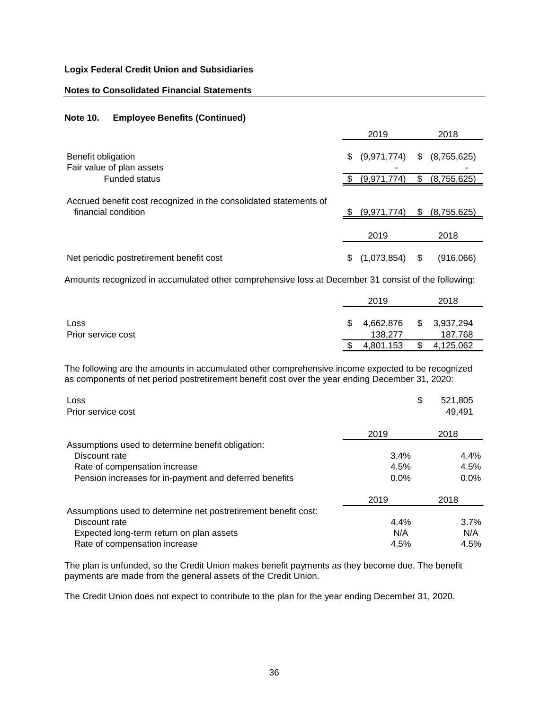#### **Notes to Consolidated Financial Statements**

## **Note 10. Employee Benefits (Continued)**

|                                                                                          |    | 2019        |     | 2018           |
|------------------------------------------------------------------------------------------|----|-------------|-----|----------------|
| Benefit obligation<br>Fair value of plan assets                                          | \$ | (9,971,774) |     | \$ (8,755,625) |
| <b>Funded status</b>                                                                     |    | (9,971,774) | S   | (8,755,625)    |
| Accrued benefit cost recognized in the consolidated statements of<br>financial condition |    | (9,971,774) | \$. | (8,755,625)    |
|                                                                                          |    | 2019        |     | 2018           |
| Net periodic postretirement benefit cost                                                 | S  | (1,073,854) | S   | (916,066)      |

Amounts recognized in accumulated other comprehensive loss at December 31 consist of the following:

|                            |    | 2019                 | 2018                   |
|----------------------------|----|----------------------|------------------------|
| Loss<br>Prior service cost | S. | 4,662,876<br>138,277 | \$3,937,294<br>187,768 |
|                            |    | 4,801,153            | 4,125,062              |

The following are the amounts in accumulated other comprehensive income expected to be recognized as components of net period postretirement benefit cost over the year ending December 31, 2020:

| Loss<br>Prior service cost                                     | \$   | 521,805<br>49.491 |
|----------------------------------------------------------------|------|-------------------|
|                                                                | 2019 | 2018              |
| Assumptions used to determine benefit obligation:              |      |                   |
| Discount rate                                                  | 3.4% | $4.4\%$           |
| Rate of compensation increase                                  | 4.5% | 4.5%              |
| Pension increases for in-payment and deferred benefits         | 0.0% | $0.0\%$           |
|                                                                | 2019 | 2018              |
| Assumptions used to determine net postretirement benefit cost: |      |                   |
| Discount rate                                                  | 4.4% | 3.7%              |
| Expected long-term return on plan assets                       | N/A  | N/A               |
| Rate of compensation increase                                  | 4.5% | 4.5%              |

The plan is unfunded, so the Credit Union makes benefit payments as they become due. The benefit payments are made from the general assets of the Credit Union.

The Credit Union does not expect to contribute to the plan for the year ending December 31, 2020.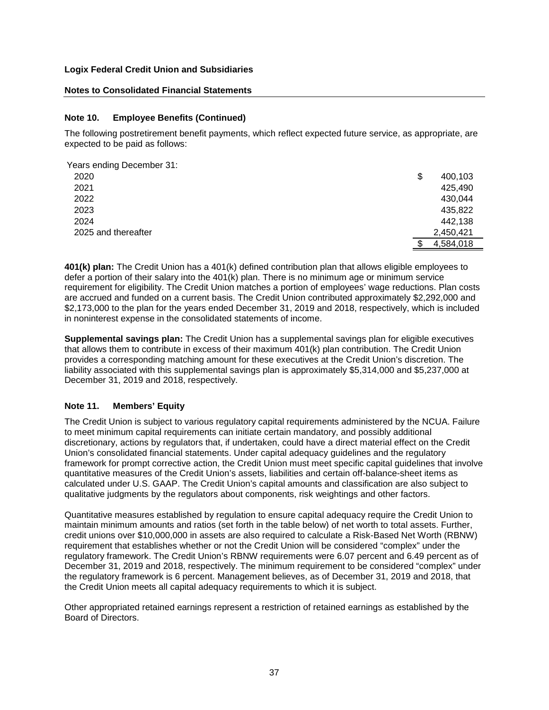#### **Notes to Consolidated Financial Statements**

#### **Note 10. Employee Benefits (Continued)**

The following postretirement benefit payments, which reflect expected future service, as appropriate, are expected to be paid as follows:

| Years ending December 31: |               |
|---------------------------|---------------|
| 2020                      | \$<br>400,103 |
| 2021                      | 425,490       |
| 2022                      | 430,044       |
| 2023                      | 435,822       |
| 2024                      | 442,138       |
| 2025 and thereafter       | 2,450,421     |
|                           | 4,584,018     |

**401(k) plan:** The Credit Union has a 401(k) defined contribution plan that allows eligible employees to defer a portion of their salary into the 401(k) plan. There is no minimum age or minimum service requirement for eligibility. The Credit Union matches a portion of employees' wage reductions. Plan costs are accrued and funded on a current basis. The Credit Union contributed approximately \$2,292,000 and \$2,173,000 to the plan for the years ended December 31, 2019 and 2018, respectively, which is included in noninterest expense in the consolidated statements of income.

**Supplemental savings plan:** The Credit Union has a supplemental savings plan for eligible executives that allows them to contribute in excess of their maximum 401(k) plan contribution. The Credit Union provides a corresponding matching amount for these executives at the Credit Union's discretion. The liability associated with this supplemental savings plan is approximately \$5,314,000 and \$5,237,000 at December 31, 2019 and 2018, respectively.

#### **Note 11. Members' Equity**

The Credit Union is subject to various regulatory capital requirements administered by the NCUA. Failure to meet minimum capital requirements can initiate certain mandatory, and possibly additional discretionary, actions by regulators that, if undertaken, could have a direct material effect on the Credit Union's consolidated financial statements. Under capital adequacy guidelines and the regulatory framework for prompt corrective action, the Credit Union must meet specific capital guidelines that involve quantitative measures of the Credit Union's assets, liabilities and certain off-balance-sheet items as calculated under U.S. GAAP. The Credit Union's capital amounts and classification are also subject to qualitative judgments by the regulators about components, risk weightings and other factors.

Quantitative measures established by regulation to ensure capital adequacy require the Credit Union to maintain minimum amounts and ratios (set forth in the table below) of net worth to total assets. Further, credit unions over \$10,000,000 in assets are also required to calculate a Risk-Based Net Worth (RBNW) requirement that establishes whether or not the Credit Union will be considered "complex" under the regulatory framework. The Credit Union's RBNW requirements were 6.07 percent and 6.49 percent as of December 31, 2019 and 2018, respectively. The minimum requirement to be considered "complex" under the regulatory framework is 6 percent. Management believes, as of December 31, 2019 and 2018, that the Credit Union meets all capital adequacy requirements to which it is subject.

Other appropriated retained earnings represent a restriction of retained earnings as established by the Board of Directors.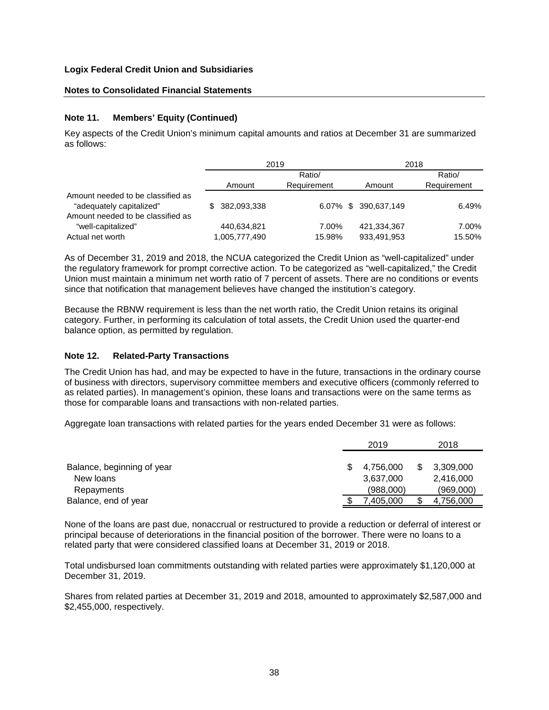#### **Notes to Consolidated Financial Statements**

# **Note 11. Members' Equity (Continued)**

Key aspects of the Credit Union's minimum capital amounts and ratios at December 31 are summarized as follows:

|                                   | 2019          |             |                      | 2018        |
|-----------------------------------|---------------|-------------|----------------------|-------------|
|                                   |               | Ratio/      |                      | Ratio/      |
|                                   | Amount        | Requirement | Amount               | Requirement |
| Amount needed to be classified as |               |             |                      |             |
| "adequately capitalized"          | \$382.093.338 |             | 6.07% \$ 390.637.149 | 6.49%       |
| Amount needed to be classified as |               |             |                      |             |
| "well-capitalized"                | 440.634.821   | 7.00%       | 421.334.367          | 7.00%       |
| Actual net worth                  | 1,005,777,490 | 15.98%      | 933,491,953          | 15.50%      |

As of December 31, 2019 and 2018, the NCUA categorized the Credit Union as "well-capitalized" under the regulatory framework for prompt corrective action. To be categorized as "well-capitalized," the Credit Union must maintain a minimum net worth ratio of 7 percent of assets. There are no conditions or events since that notification that management believes have changed the institution's category.

Because the RBNW requirement is less than the net worth ratio, the Credit Union retains its original category. Further, in performing its calculation of total assets, the Credit Union used the quarter-end balance option, as permitted by regulation.

#### **Note 12. Related-Party Transactions**

The Credit Union has had, and may be expected to have in the future, transactions in the ordinary course of business with directors, supervisory committee members and executive officers (commonly referred to as related parties). In management's opinion, these loans and transactions were on the same terms as those for comparable loans and transactions with non-related parties.

Aggregate loan transactions with related parties for the years ended December 31 were as follows:

|                            | 2019      | 2018      |
|----------------------------|-----------|-----------|
|                            |           |           |
| Balance, beginning of year | 4,756,000 | 3,309,000 |
| New loans                  | 3,637,000 | 2,416,000 |
| Repayments                 | (988,000) | (969,000) |
| Balance, end of year       | ,405,000  | 4,756,000 |

None of the loans are past due, nonaccrual or restructured to provide a reduction or deferral of interest or principal because of deteriorations in the financial position of the borrower. There were no loans to a related party that were considered classified loans at December 31, 2019 or 2018.

Total undisbursed loan commitments outstanding with related parties were approximately \$1,120,000 at December 31, 2019.

Shares from related parties at December 31, 2019 and 2018, amounted to approximately \$2,587,000 and \$2,455,000, respectively.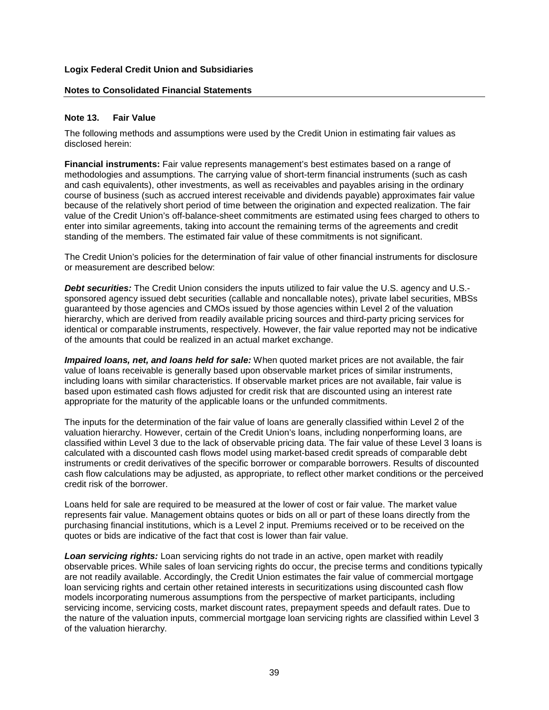#### **Notes to Consolidated Financial Statements**

#### **Note 13. Fair Value**

The following methods and assumptions were used by the Credit Union in estimating fair values as disclosed herein:

**Financial instruments:** Fair value represents management's best estimates based on a range of methodologies and assumptions. The carrying value of short-term financial instruments (such as cash and cash equivalents), other investments, as well as receivables and payables arising in the ordinary course of business (such as accrued interest receivable and dividends payable) approximates fair value because of the relatively short period of time between the origination and expected realization. The fair value of the Credit Union's off-balance-sheet commitments are estimated using fees charged to others to enter into similar agreements, taking into account the remaining terms of the agreements and credit standing of the members. The estimated fair value of these commitments is not significant.

The Credit Union's policies for the determination of fair value of other financial instruments for disclosure or measurement are described below:

*Debt securities:* The Credit Union considers the inputs utilized to fair value the U.S. agency and U.S. sponsored agency issued debt securities (callable and noncallable notes), private label securities, MBSs guaranteed by those agencies and CMOs issued by those agencies within Level 2 of the valuation hierarchy, which are derived from readily available pricing sources and third-party pricing services for identical or comparable instruments, respectively. However, the fair value reported may not be indicative of the amounts that could be realized in an actual market exchange.

*Impaired loans, net, and loans held for sale:* When quoted market prices are not available, the fair value of loans receivable is generally based upon observable market prices of similar instruments, including loans with similar characteristics. If observable market prices are not available, fair value is based upon estimated cash flows adjusted for credit risk that are discounted using an interest rate appropriate for the maturity of the applicable loans or the unfunded commitments.

The inputs for the determination of the fair value of loans are generally classified within Level 2 of the valuation hierarchy. However, certain of the Credit Union's loans, including nonperforming loans, are classified within Level 3 due to the lack of observable pricing data. The fair value of these Level 3 loans is calculated with a discounted cash flows model using market-based credit spreads of comparable debt instruments or credit derivatives of the specific borrower or comparable borrowers. Results of discounted cash flow calculations may be adjusted, as appropriate, to reflect other market conditions or the perceived credit risk of the borrower.

Loans held for sale are required to be measured at the lower of cost or fair value. The market value represents fair value. Management obtains quotes or bids on all or part of these loans directly from the purchasing financial institutions, which is a Level 2 input. Premiums received or to be received on the quotes or bids are indicative of the fact that cost is lower than fair value.

*Loan servicing rights:* Loan servicing rights do not trade in an active, open market with readily observable prices. While sales of loan servicing rights do occur, the precise terms and conditions typically are not readily available. Accordingly, the Credit Union estimates the fair value of commercial mortgage loan servicing rights and certain other retained interests in securitizations using discounted cash flow models incorporating numerous assumptions from the perspective of market participants, including servicing income, servicing costs, market discount rates, prepayment speeds and default rates. Due to the nature of the valuation inputs, commercial mortgage loan servicing rights are classified within Level 3 of the valuation hierarchy.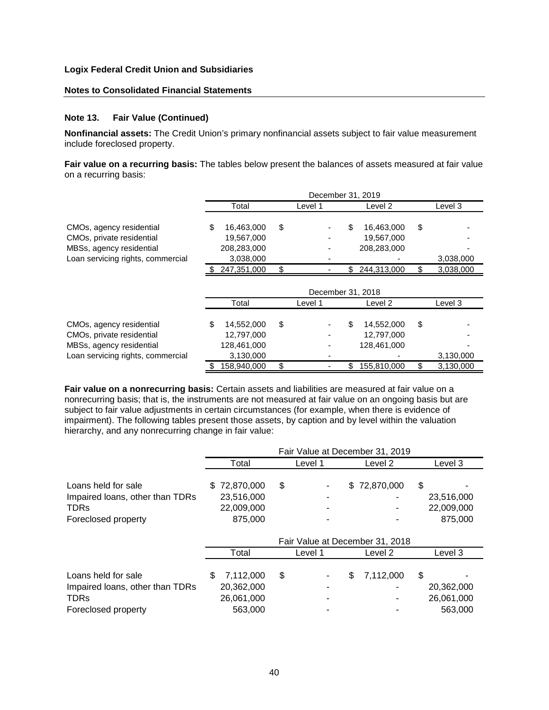#### **Notes to Consolidated Financial Statements**

# **Note 13. Fair Value (Continued)**

**Nonfinancial assets:** The Credit Union's primary nonfinancial assets subject to fair value measurement include foreclosed property.

**Fair value on a recurring basis:** The tables below present the balances of assets measured at fair value on a recurring basis:

|                                                       | December 31, 2019 |                          |    |         |     |                          |    |           |
|-------------------------------------------------------|-------------------|--------------------------|----|---------|-----|--------------------------|----|-----------|
|                                                       |                   | Total                    |    | Level 1 |     | Level 2                  |    | Level 3   |
| CMOs, agency residential                              | \$                | 16,463,000               | \$ |         | \$  | 16,463,000               | \$ |           |
| CMOs, private residential                             |                   | 19,567,000               |    |         |     | 19,567,000               |    |           |
| MBSs, agency residential                              |                   | 208,283,000              |    |         |     | 208,283,000              |    |           |
| Loan servicing rights, commercial                     |                   | 3,038,000                |    |         |     |                          |    | 3,038,000 |
|                                                       |                   | 247,351,000              |    |         | \$. | 244,313,000              |    | 3,038,000 |
|                                                       |                   |                          |    |         |     |                          |    |           |
|                                                       |                   | December 31, 2018        |    |         |     |                          |    |           |
|                                                       |                   | Total                    |    | Level 1 |     | Level <sub>2</sub>       |    | Level 3   |
| CMOs, agency residential<br>CMOs, private residential | \$                | 14,552,000<br>12,797,000 | \$ |         | S   | 14,552,000<br>12,797,000 | \$ |           |

MBSs, agency residential 128,461,000 - 128,461,000<br>
Loan servicing rights, commercial 13,130,000 - 128,461,000 - 3.130.000 Loan servicing rights, commercial \$ 158,940,000 \$ - \$ 155,810,000 \$ 3,130,000

**Fair value on a nonrecurring basis:** Certain assets and liabilities are measured at fair value on a nonrecurring basis; that is, the instruments are not measured at fair value on an ongoing basis but are subject to fair value adjustments in certain circumstances (for example, when there is evidence of impairment). The following tables present those assets, by caption and by level within the valuation hierarchy, and any nonrecurring change in fair value:

|                                                                                              | Fair Value at December 31, 2019                         |         |                 |                                           |  |  |  |  |
|----------------------------------------------------------------------------------------------|---------------------------------------------------------|---------|-----------------|-------------------------------------------|--|--|--|--|
|                                                                                              | Total                                                   | Level 1 | Level 2         | Level 3                                   |  |  |  |  |
| Loans held for sale<br>Impaired loans, other than TDRs<br><b>TDRs</b><br>Foreclosed property | 72,870,000<br>S.<br>23,516,000<br>22,009,000<br>875,000 | \$      | \$72,870,000    | \$<br>23,516,000<br>22,009,000<br>875,000 |  |  |  |  |
|                                                                                              | Fair Value at December 31, 2018                         |         |                 |                                           |  |  |  |  |
|                                                                                              | Total                                                   | Level 1 | Level 2         | Level 3                                   |  |  |  |  |
| Loans held for sale                                                                          | \$<br>7,112,000                                         | \$      | \$<br>7,112,000 | \$                                        |  |  |  |  |
| Impaired loans, other than TDRs<br><b>TDRs</b>                                               | 20,362,000<br>26,061,000                                |         |                 | 20,362,000<br>26,061,000                  |  |  |  |  |
| Foreclosed property                                                                          | 563,000                                                 |         |                 | 563,000                                   |  |  |  |  |